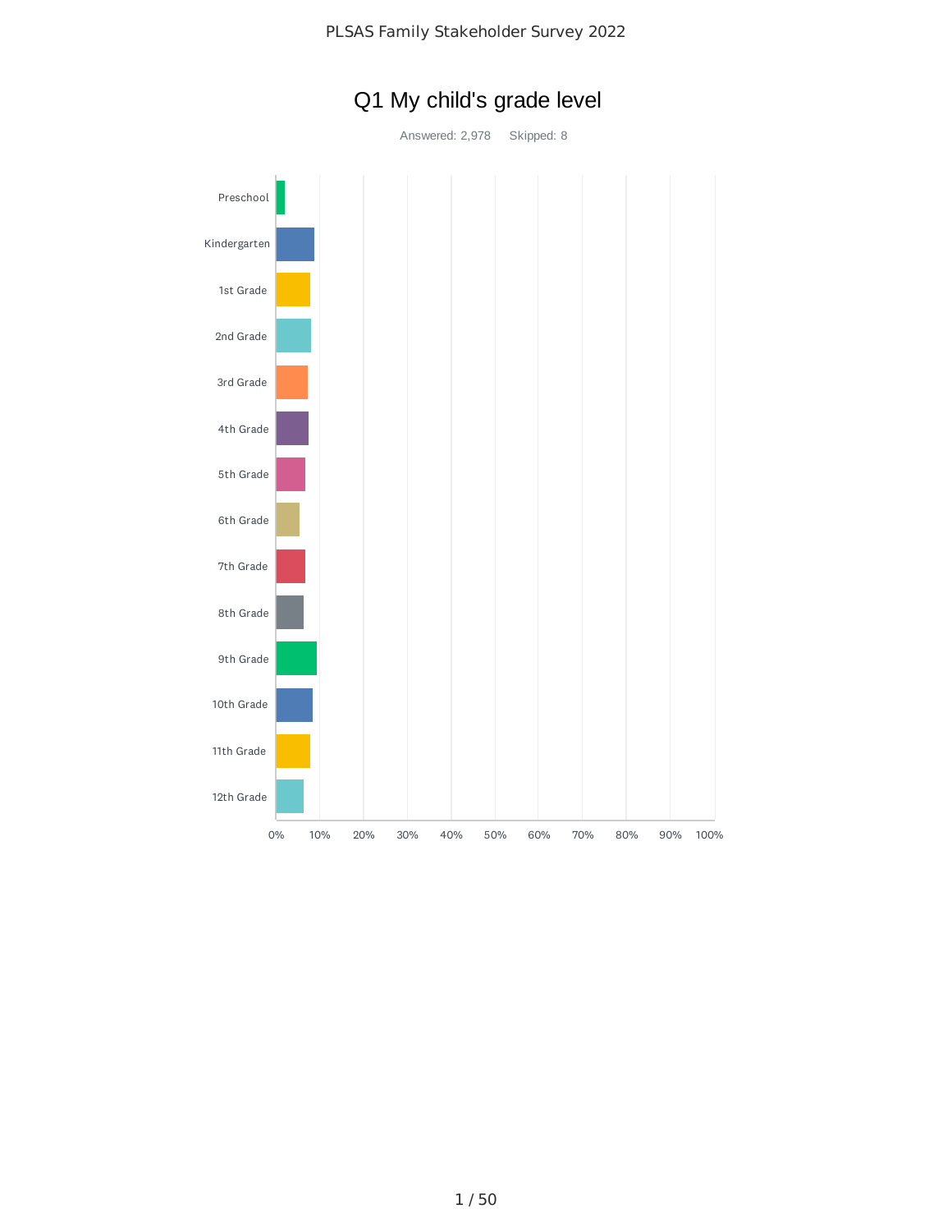

# Q1 My child's grade level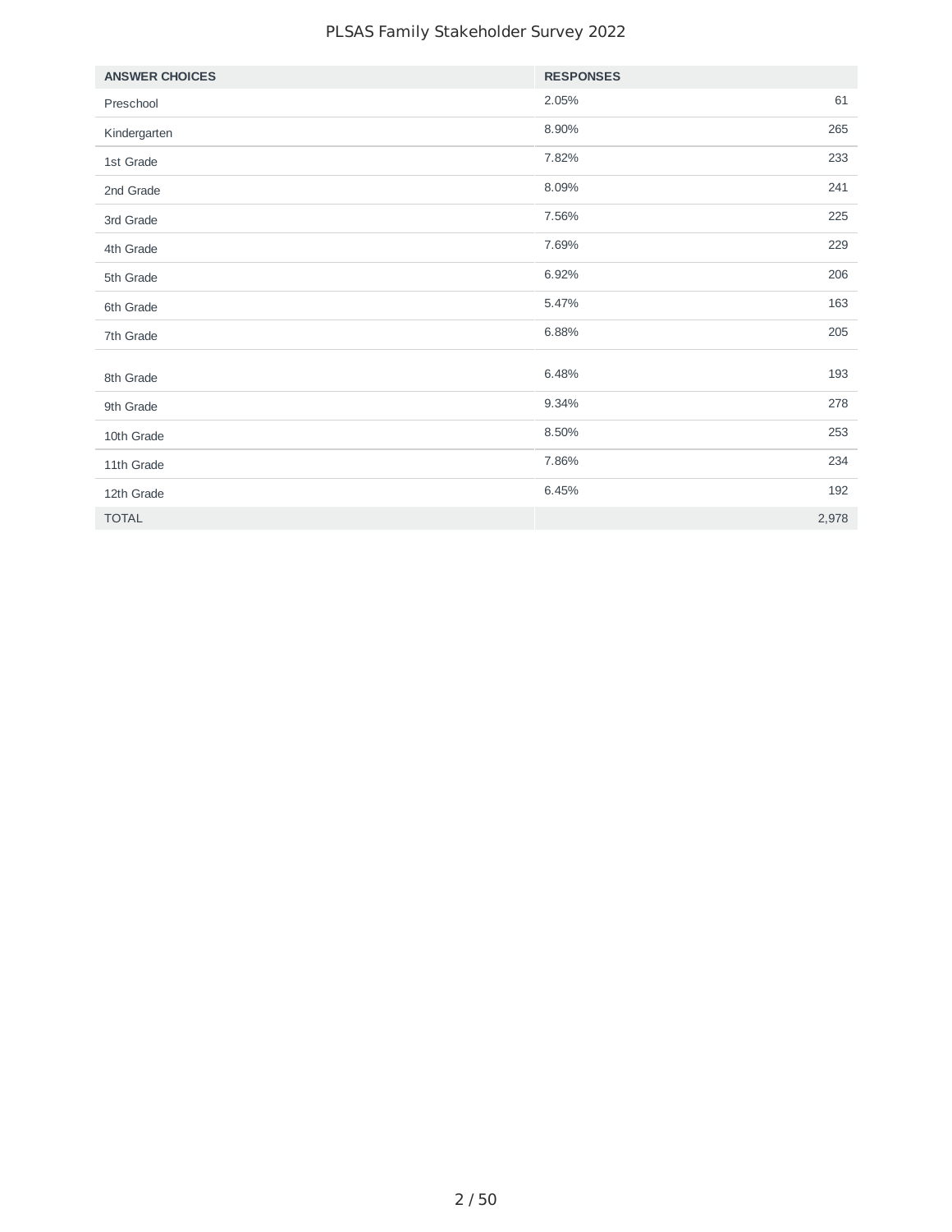#### PLSAS Family Stakeholder Survey 2022

| <b>ANSWER CHOICES</b> | <b>RESPONSES</b> |
|-----------------------|------------------|
| Preschool             | 2.05%<br>61      |
| Kindergarten          | 265<br>8.90%     |
| 1st Grade             | 233<br>7.82%     |
| 2nd Grade             | 8.09%<br>241     |
| 3rd Grade             | 225<br>7.56%     |
| 4th Grade             | 7.69%<br>229     |
| 5th Grade             | 6.92%<br>206     |
| 6th Grade             | 163<br>5.47%     |
| 7th Grade             | 205<br>6.88%     |
|                       |                  |
| 8th Grade             | 6.48%<br>193     |
| 9th Grade             | 9.34%<br>278     |
| 10th Grade            | 253<br>8.50%     |
| 11th Grade            | 7.86%<br>234     |
| 12th Grade            | 6.45%<br>192     |
| <b>TOTAL</b>          | 2,978            |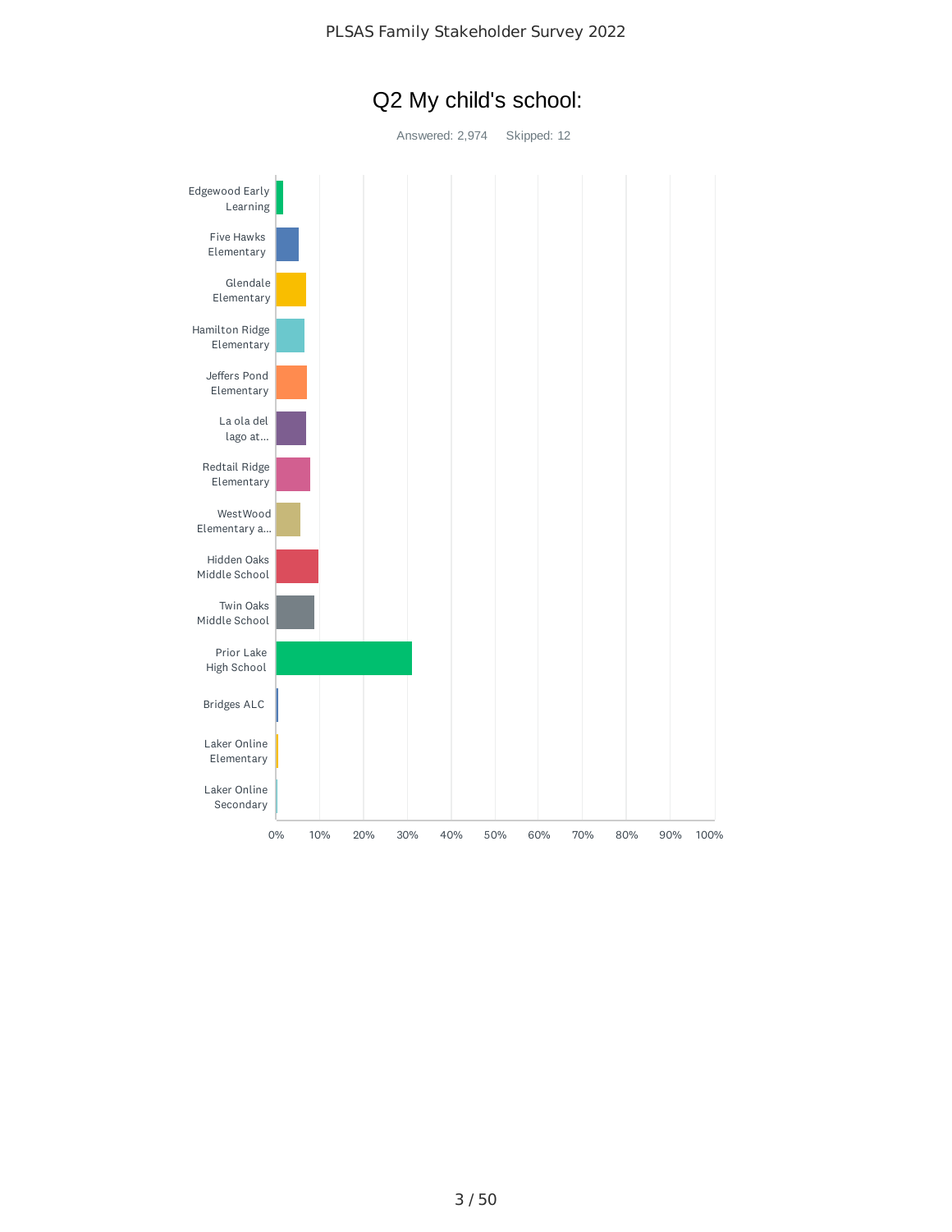

## Q2 My child's school: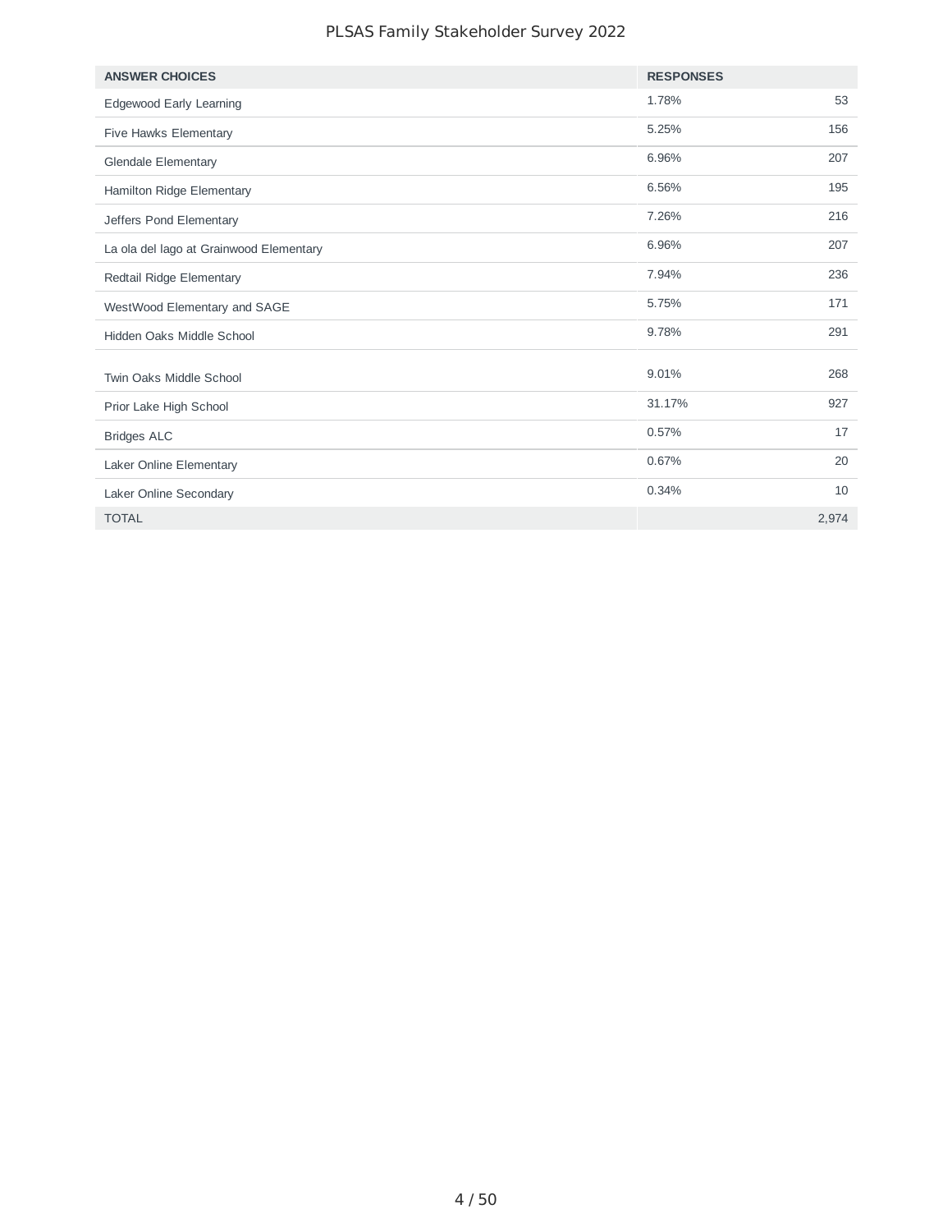#### PLSAS Family Stakeholder Survey 2022

| <b>ANSWER CHOICES</b>                   | <b>RESPONSES</b> |       |
|-----------------------------------------|------------------|-------|
| Edgewood Early Learning                 | 1.78%            | 53    |
| Five Hawks Elementary                   | 5.25%            | 156   |
| <b>Glendale Elementary</b>              | 6.96%            | 207   |
| Hamilton Ridge Elementary               | 6.56%            | 195   |
| Jeffers Pond Elementary                 | 7.26%            | 216   |
| La ola del lago at Grainwood Elementary | 6.96%            | 207   |
| Redtail Ridge Elementary                | 7.94%            | 236   |
| WestWood Elementary and SAGE            | 5.75%            | 171   |
| Hidden Oaks Middle School               | 9.78%            | 291   |
| Twin Oaks Middle School                 | 9.01%            | 268   |
| Prior Lake High School                  | 31.17%           | 927   |
| <b>Bridges ALC</b>                      | 0.57%            | 17    |
| Laker Online Elementary                 | 0.67%            | 20    |
| Laker Online Secondary                  | 0.34%            | 10    |
| <b>TOTAL</b>                            |                  | 2,974 |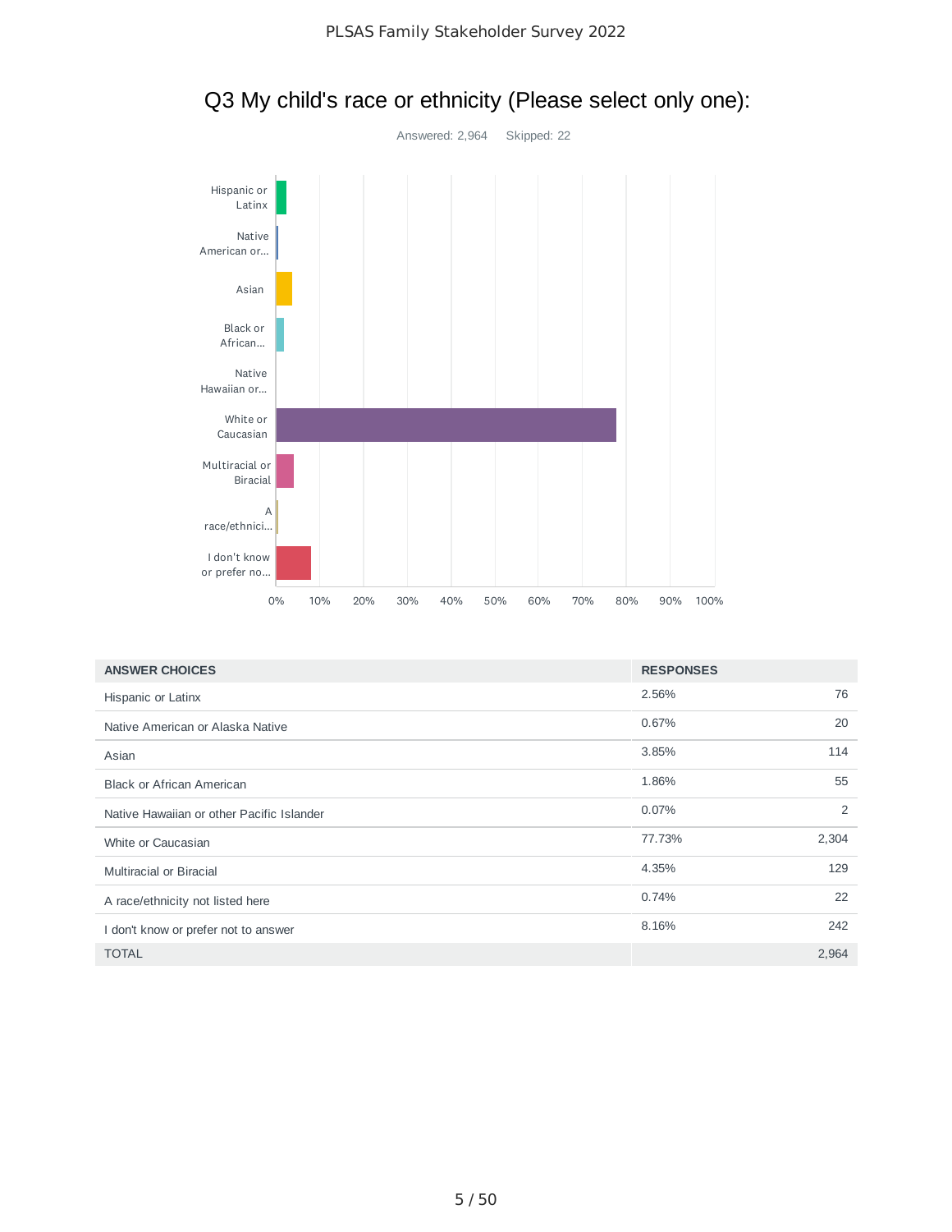

## Q3 My child's race or ethnicity (Please select only one):

| <b>ANSWER CHOICES</b>                     | <b>RESPONSES</b> |       |
|-------------------------------------------|------------------|-------|
| Hispanic or Latinx                        | 2.56%            | 76    |
| Native American or Alaska Native          | 0.67%            | 20    |
| Asian                                     | 3.85%            | 114   |
| <b>Black or African American</b>          | 1.86%            | 55    |
| Native Hawaiian or other Pacific Islander | 0.07%            | 2     |
| White or Caucasian                        | 77.73%           | 2,304 |
| <b>Multiracial or Biracial</b>            | 4.35%            | 129   |
| A race/ethnicity not listed here          | 0.74%            | 22    |
| I don't know or prefer not to answer      | 8.16%            | 242   |
| <b>TOTAL</b>                              |                  | 2,964 |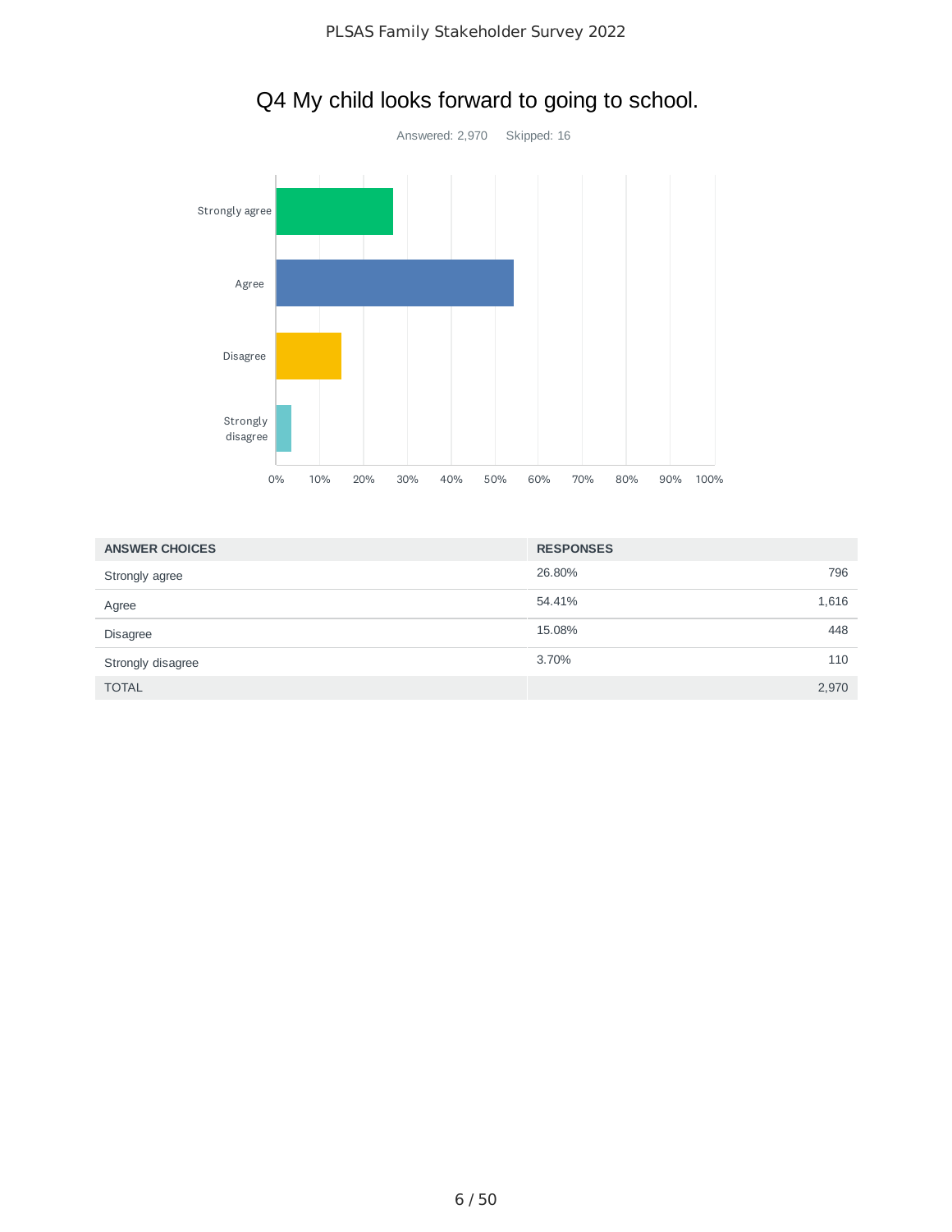

# Q4 My child looks forward to going to school.

| <b>ANSWER CHOICES</b> | <b>RESPONSES</b> |       |
|-----------------------|------------------|-------|
| Strongly agree        | 26.80%           | 796   |
| Agree                 | 54.41%           | 1,616 |
| <b>Disagree</b>       | 15.08%           | 448   |
| Strongly disagree     | 3.70%            | 110   |
| <b>TOTAL</b>          |                  | 2,970 |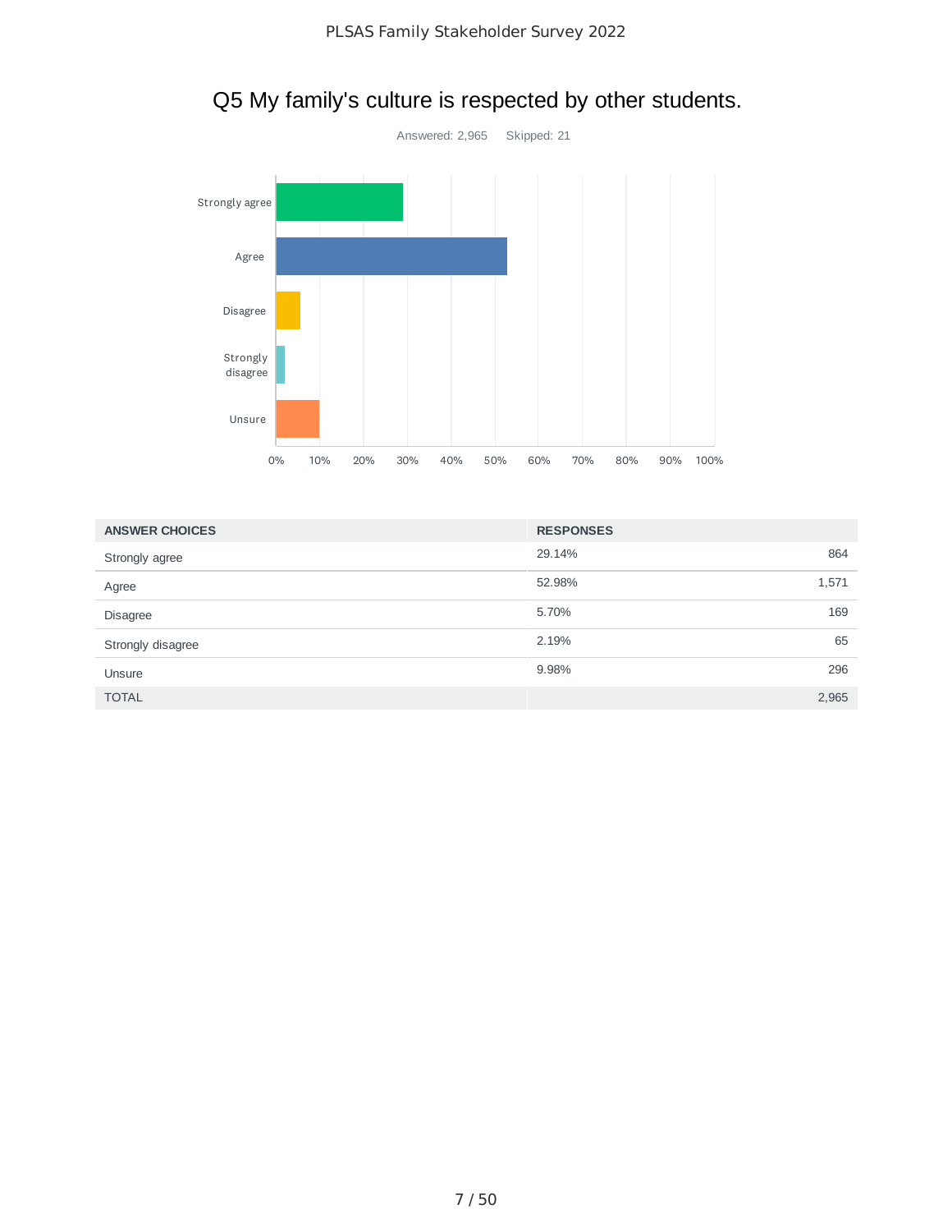

## Q5 My family's culture is respected by other students.

| <b>ANSWER CHOICES</b> | <b>RESPONSES</b> |       |
|-----------------------|------------------|-------|
| Strongly agree        | 29.14%           | 864   |
| Agree                 | 52.98%           | 1,571 |
| <b>Disagree</b>       | 5.70%            | 169   |
| Strongly disagree     | 2.19%            | 65    |
| Unsure                | 9.98%            | 296   |
| <b>TOTAL</b>          |                  | 2,965 |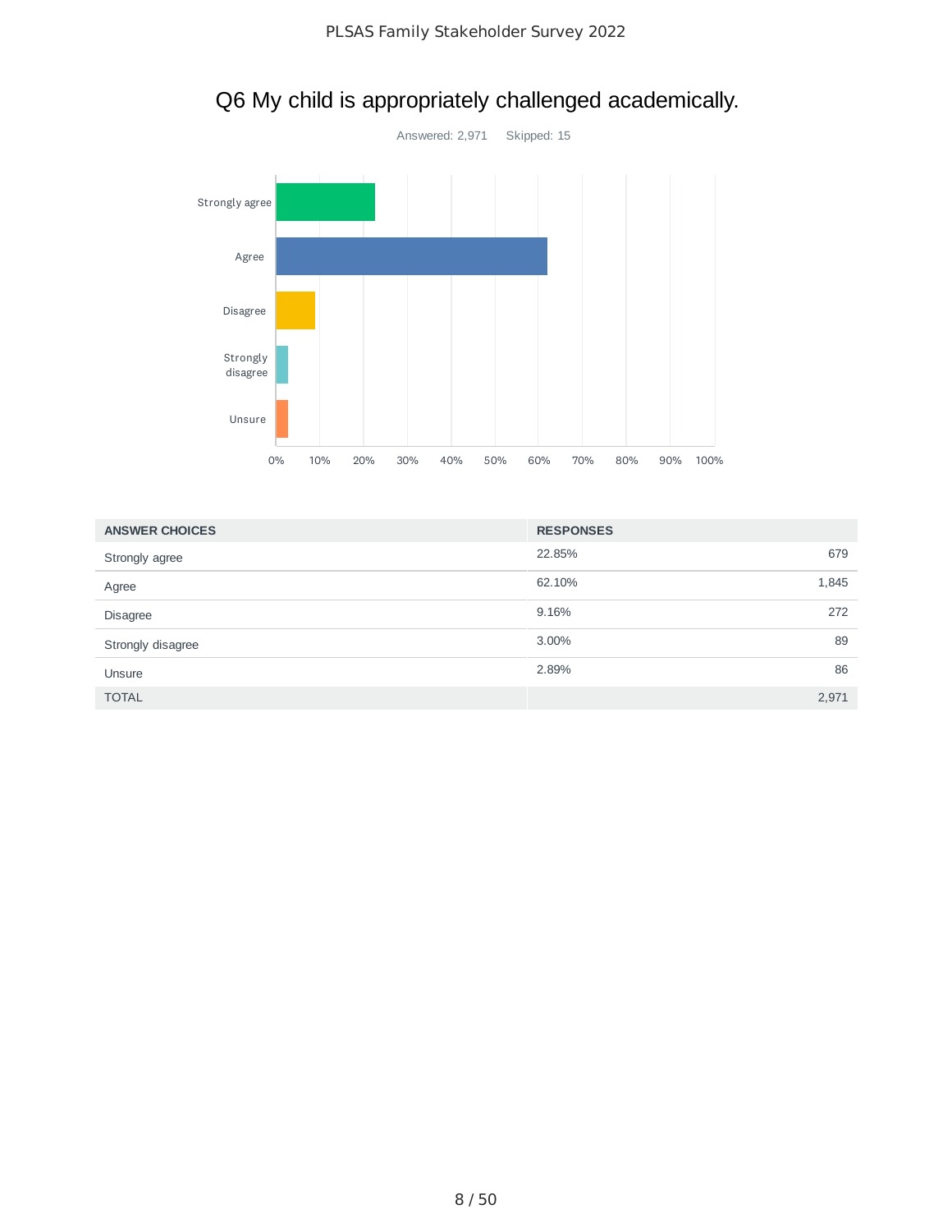

## Q6 My child is appropriately challenged academically.

| <b>ANSWER CHOICES</b> | <b>RESPONSES</b> |       |
|-----------------------|------------------|-------|
| Strongly agree        | 22.85%           | 679   |
| Agree                 | 62.10%           | 1,845 |
| <b>Disagree</b>       | 9.16%            | 272   |
| Strongly disagree     | 3.00%            | 89    |
| Unsure                | 2.89%            | 86    |
| <b>TOTAL</b>          |                  | 2,971 |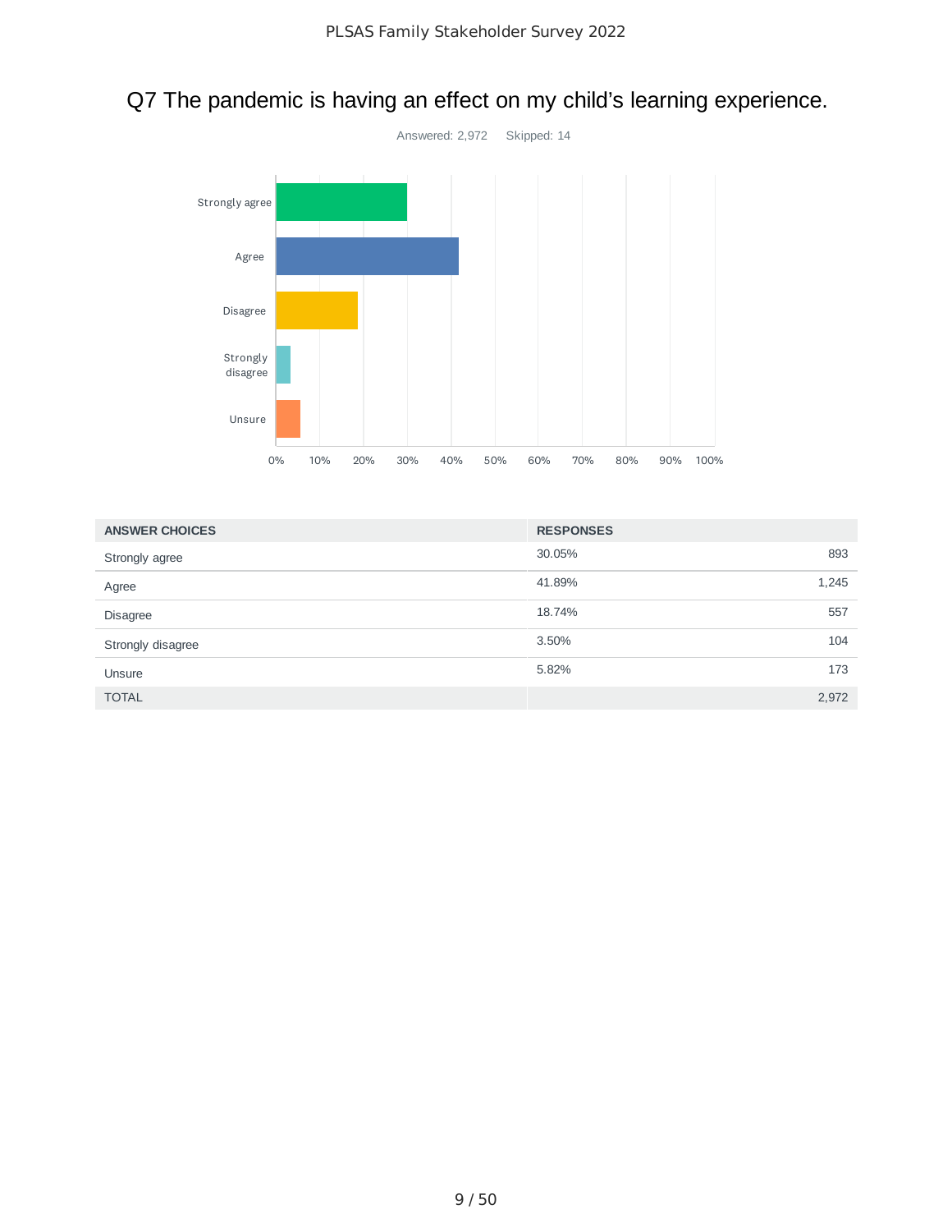# Q7 The pandemic is having an effect on my child's learning experience.



| <b>ANSWER CHOICES</b> | <b>RESPONSES</b> |       |
|-----------------------|------------------|-------|
| Strongly agree        | 30.05%           | 893   |
| Agree                 | 41.89%           | 1,245 |
| <b>Disagree</b>       | 18.74%           | 557   |
| Strongly disagree     | 3.50%            | 104   |
| Unsure                | 5.82%            | 173   |
| <b>TOTAL</b>          |                  | 2,972 |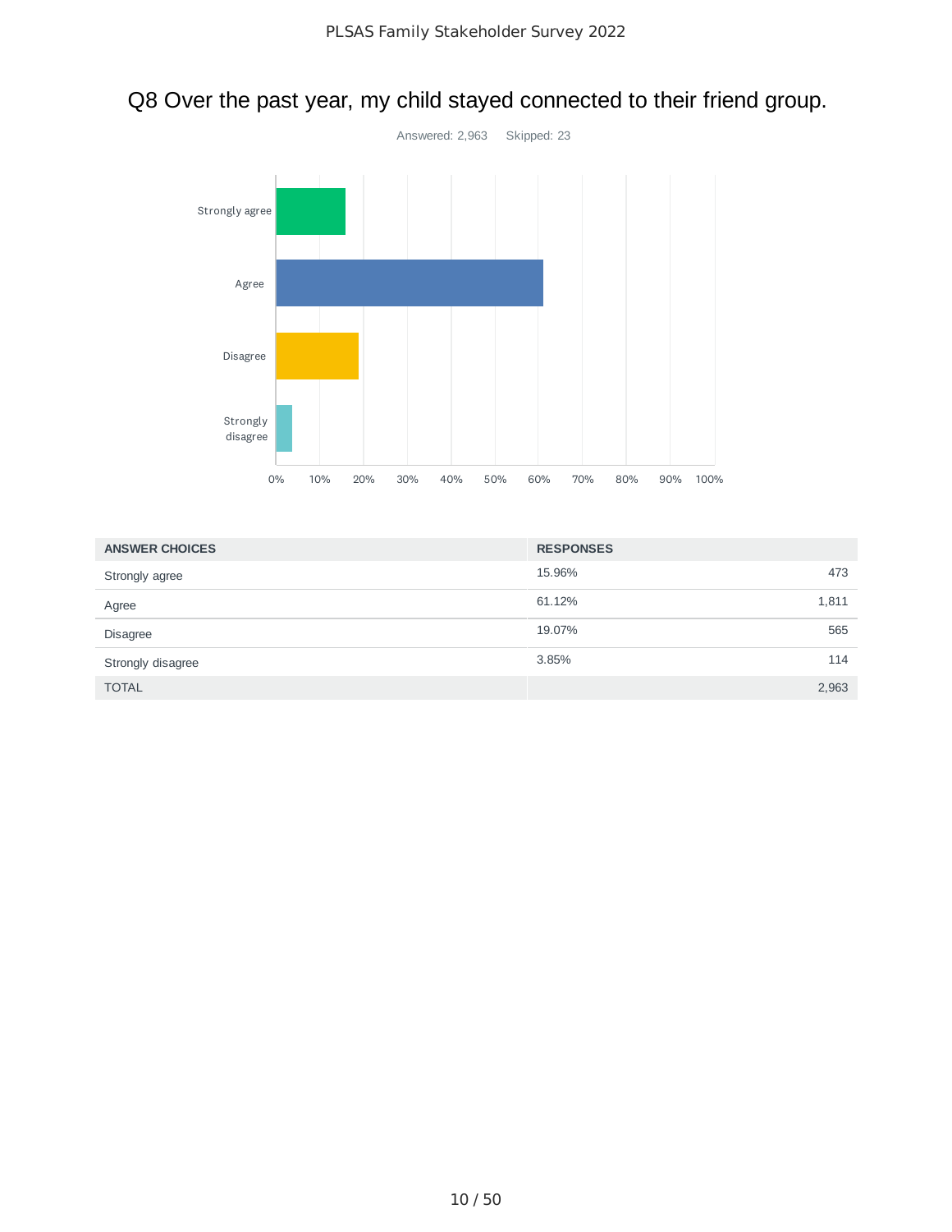# Q8 Over the past year, my child stayed connected to their friend group.



| <b>ANSWER CHOICES</b> | <b>RESPONSES</b> |       |
|-----------------------|------------------|-------|
| Strongly agree        | 15.96%           | 473   |
| Agree                 | 61.12%           | 1,811 |
| <b>Disagree</b>       | 19.07%           | 565   |
| Strongly disagree     | 3.85%            | 114   |
| <b>TOTAL</b>          |                  | 2,963 |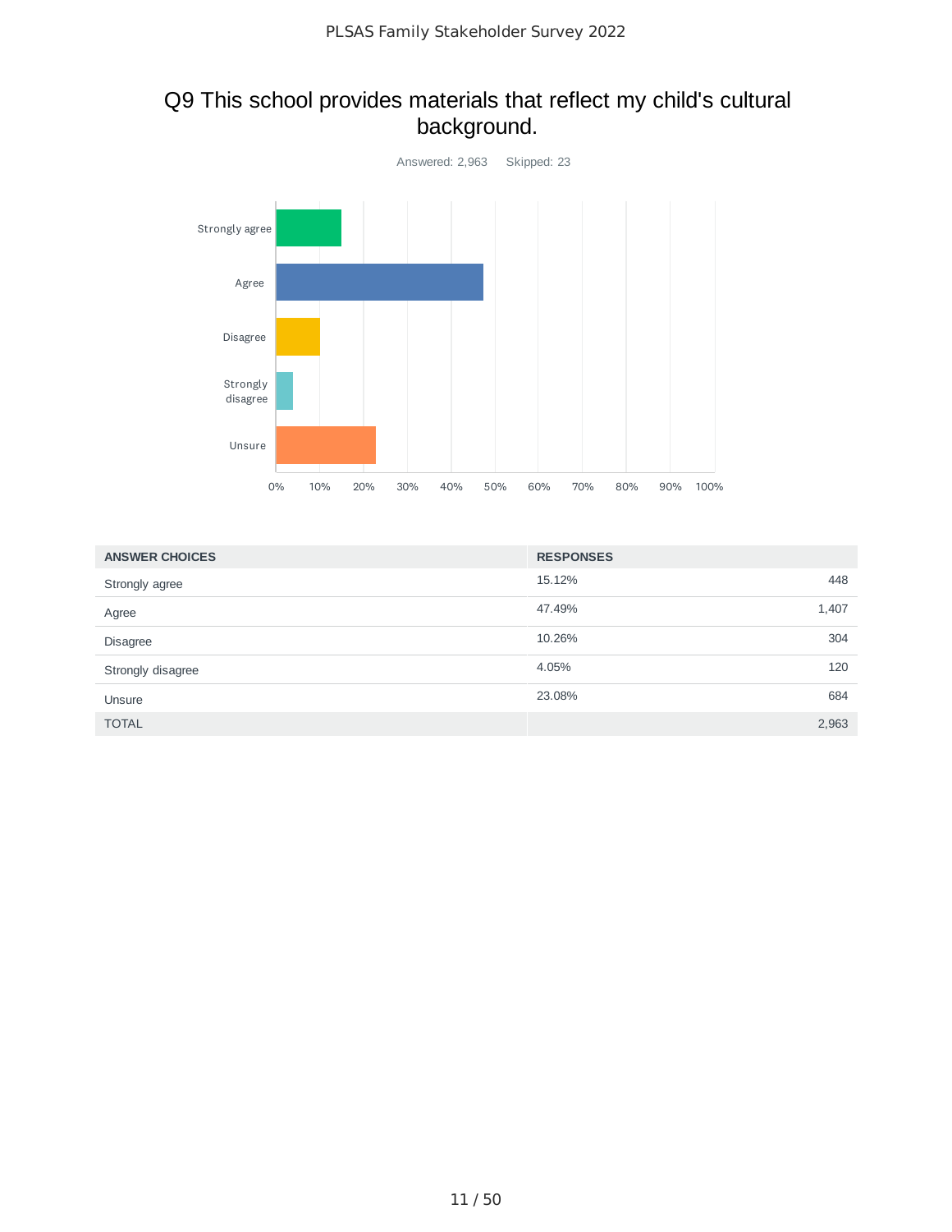## Q9 This school provides materials that reflect my child's cultural background.



| <b>ANSWER CHOICES</b> | <b>RESPONSES</b> |       |
|-----------------------|------------------|-------|
| Strongly agree        | 15.12%           | 448   |
| Agree                 | 47.49%           | 1,407 |
| <b>Disagree</b>       | 10.26%           | 304   |
| Strongly disagree     | 4.05%            | 120   |
| Unsure                | 23.08%           | 684   |
| <b>TOTAL</b>          |                  | 2,963 |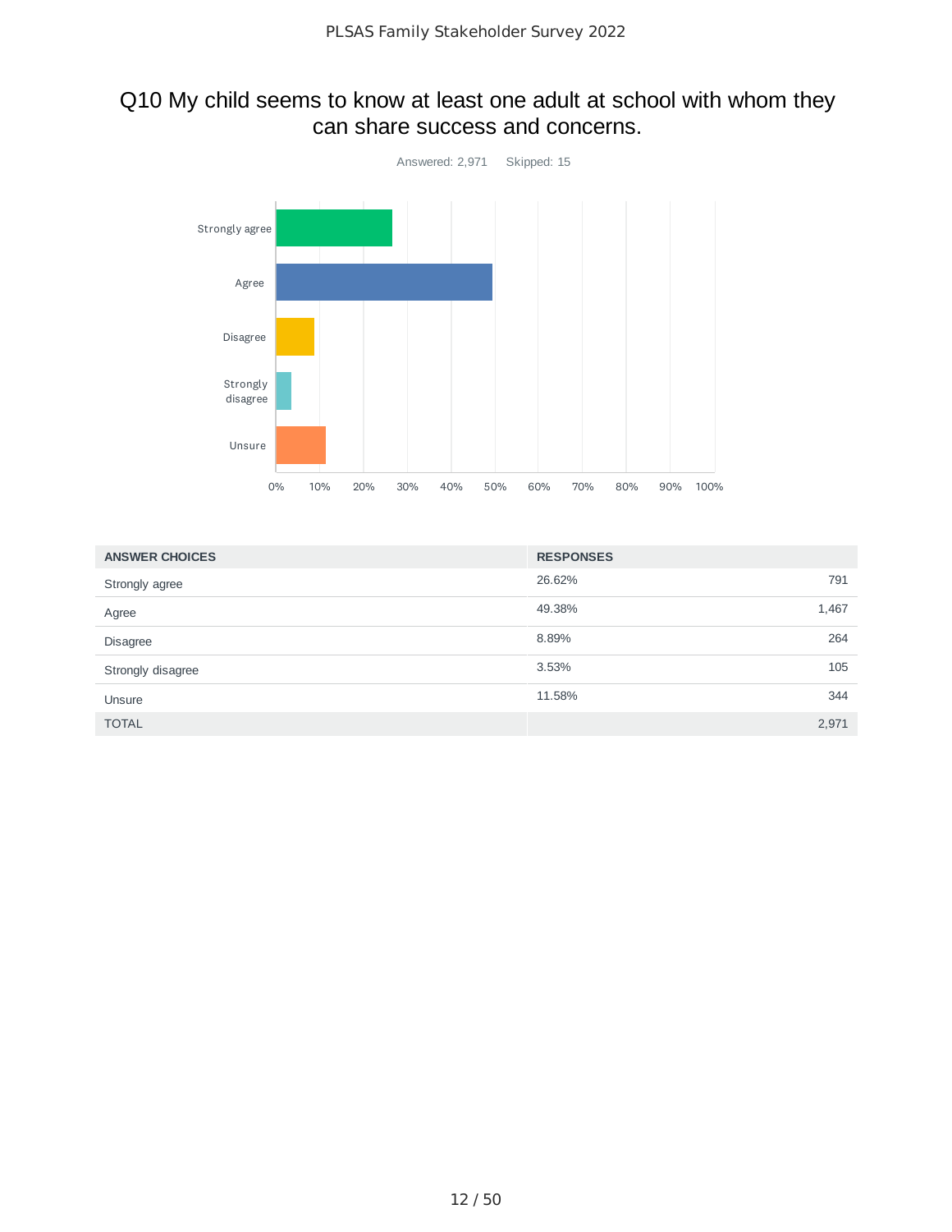### Q10 My child seems to know at least one adult at school with whom they can share success and concerns.



| <b>ANSWER CHOICES</b> | <b>RESPONSES</b> |       |
|-----------------------|------------------|-------|
| Strongly agree        | 26.62%           | 791   |
| Agree                 | 49.38%           | 1,467 |
| <b>Disagree</b>       | 8.89%            | 264   |
| Strongly disagree     | 3.53%            | 105   |
| Unsure                | 11.58%           | 344   |
| <b>TOTAL</b>          |                  | 2,971 |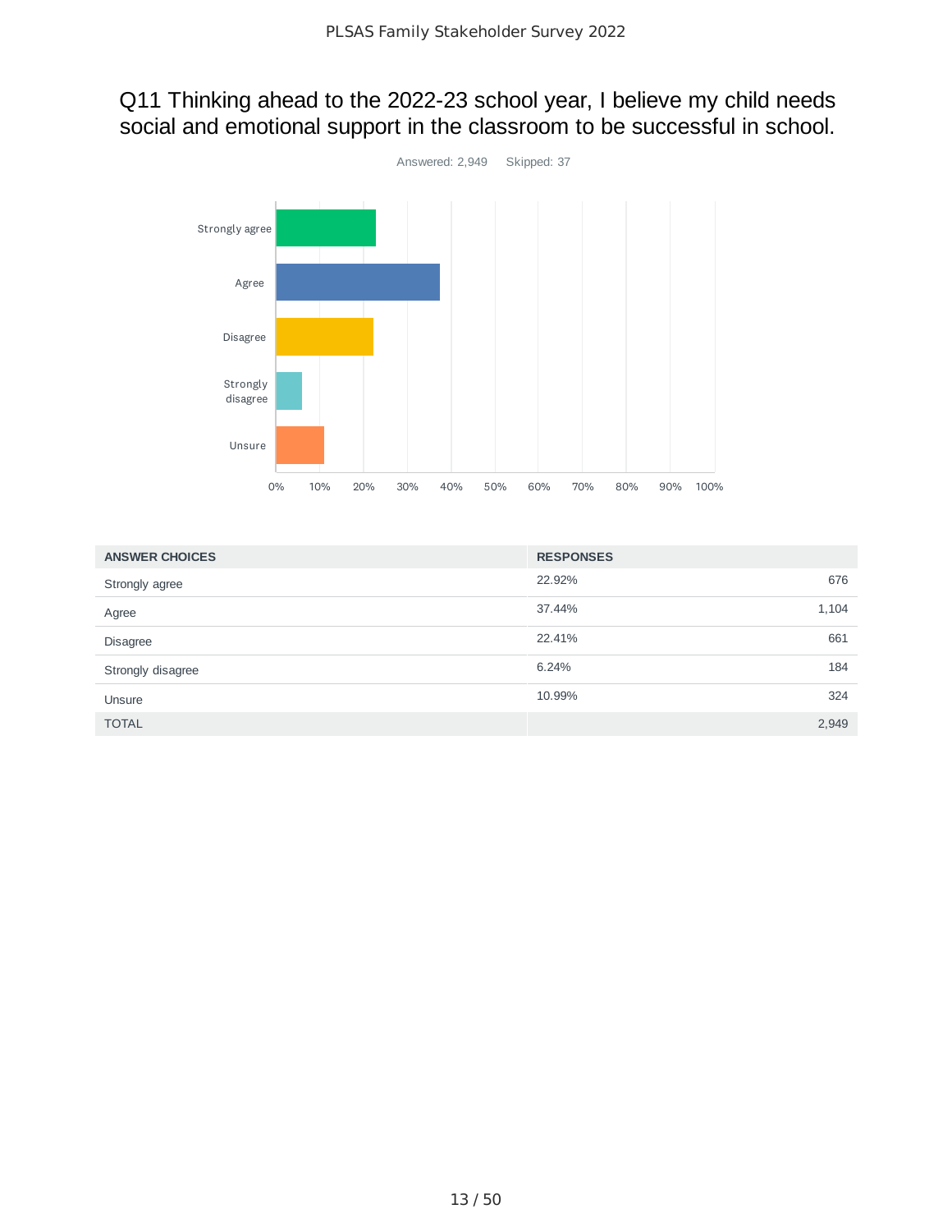## Q11 Thinking ahead to the 2022-23 school year, I believe my child needs social and emotional support in the classroom to be successful in school.



| <b>ANSWER CHOICES</b> | <b>RESPONSES</b> |       |
|-----------------------|------------------|-------|
| Strongly agree        | 22.92%           | 676   |
| Agree                 | 37.44%           | 1,104 |
| <b>Disagree</b>       | 22.41%           | 661   |
| Strongly disagree     | 6.24%            | 184   |
| Unsure                | 10.99%           | 324   |
| <b>TOTAL</b>          |                  | 2,949 |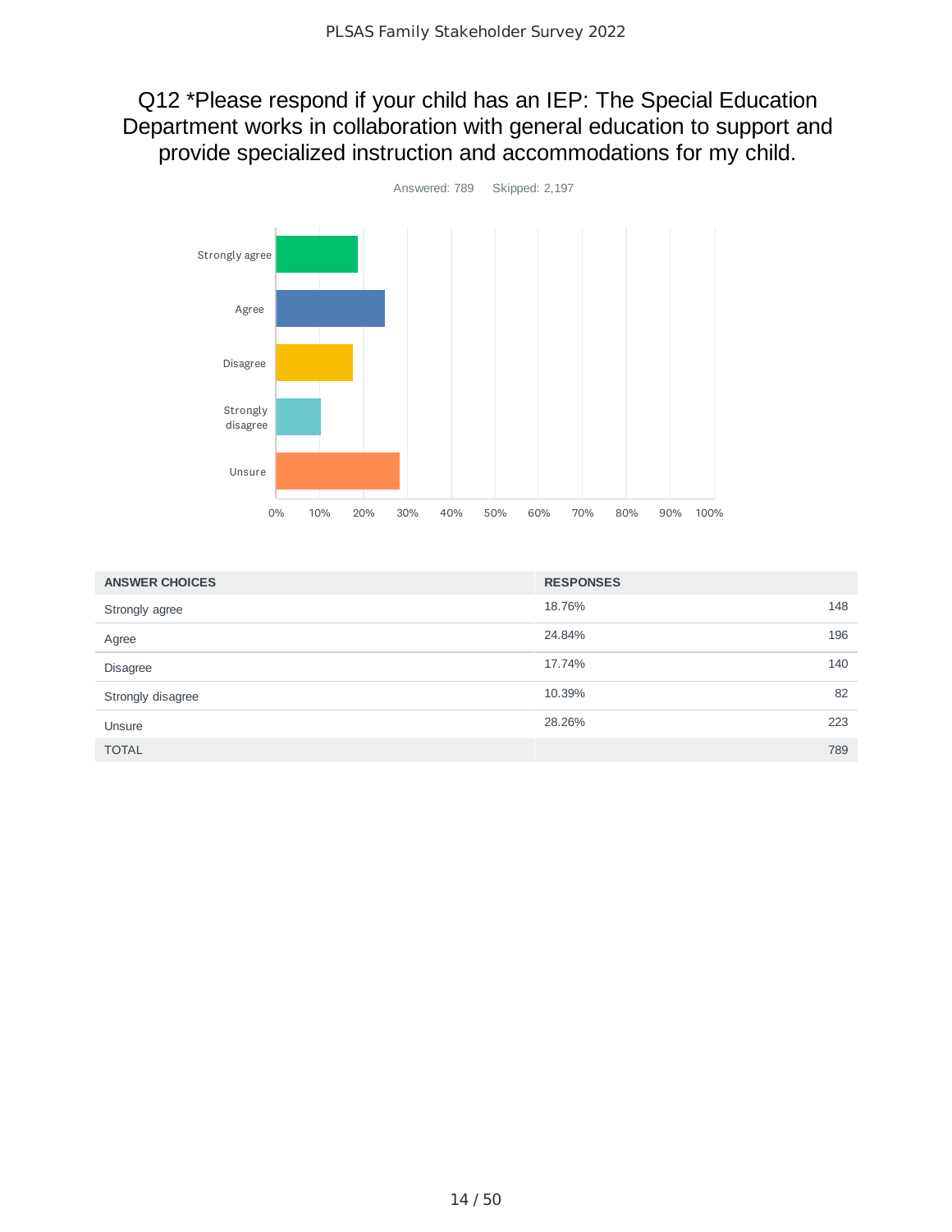Q12 \*Please respond if your child has an IEP: The Special Education Department works in collaboration with general education to support and provide specialized instruction and accommodations for my child.



| <b>ANSWER CHOICES</b> | <b>RESPONSES</b> |     |
|-----------------------|------------------|-----|
| Strongly agree        | 18.76%           | 148 |
| Agree                 | 24.84%           | 196 |
| <b>Disagree</b>       | 17.74%           | 140 |
| Strongly disagree     | 10.39%           | 82  |
| Unsure                | 28.26%           | 223 |
| <b>TOTAL</b>          |                  | 789 |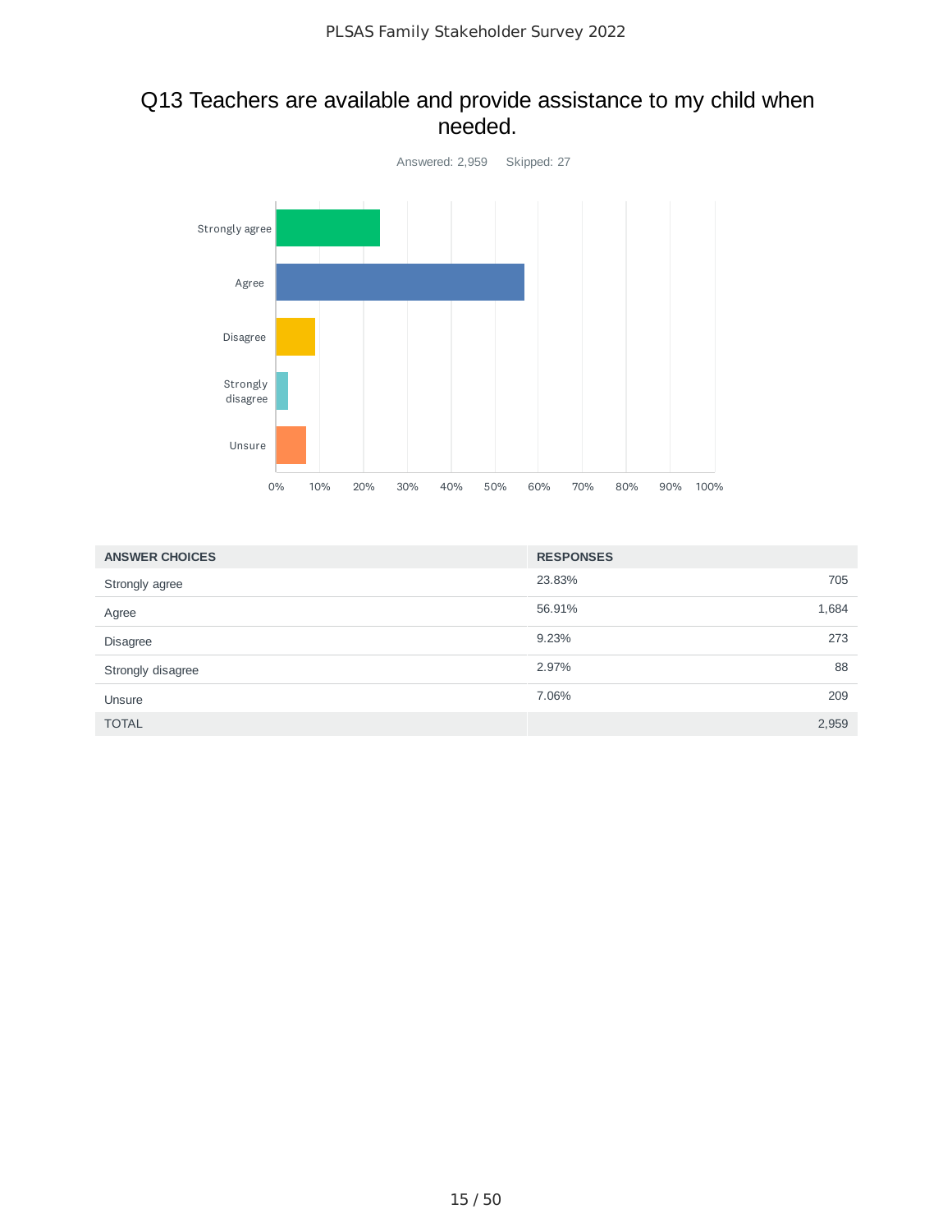#### Q13 Teachers are available and provide assistance to my child when needed.



| <b>ANSWER CHOICES</b> | <b>RESPONSES</b> |       |
|-----------------------|------------------|-------|
| Strongly agree        | 23.83%           | 705   |
| Agree                 | 56.91%           | 1,684 |
| <b>Disagree</b>       | 9.23%            | 273   |
| Strongly disagree     | 2.97%            | 88    |
| Unsure                | 7.06%            | 209   |
| <b>TOTAL</b>          |                  | 2,959 |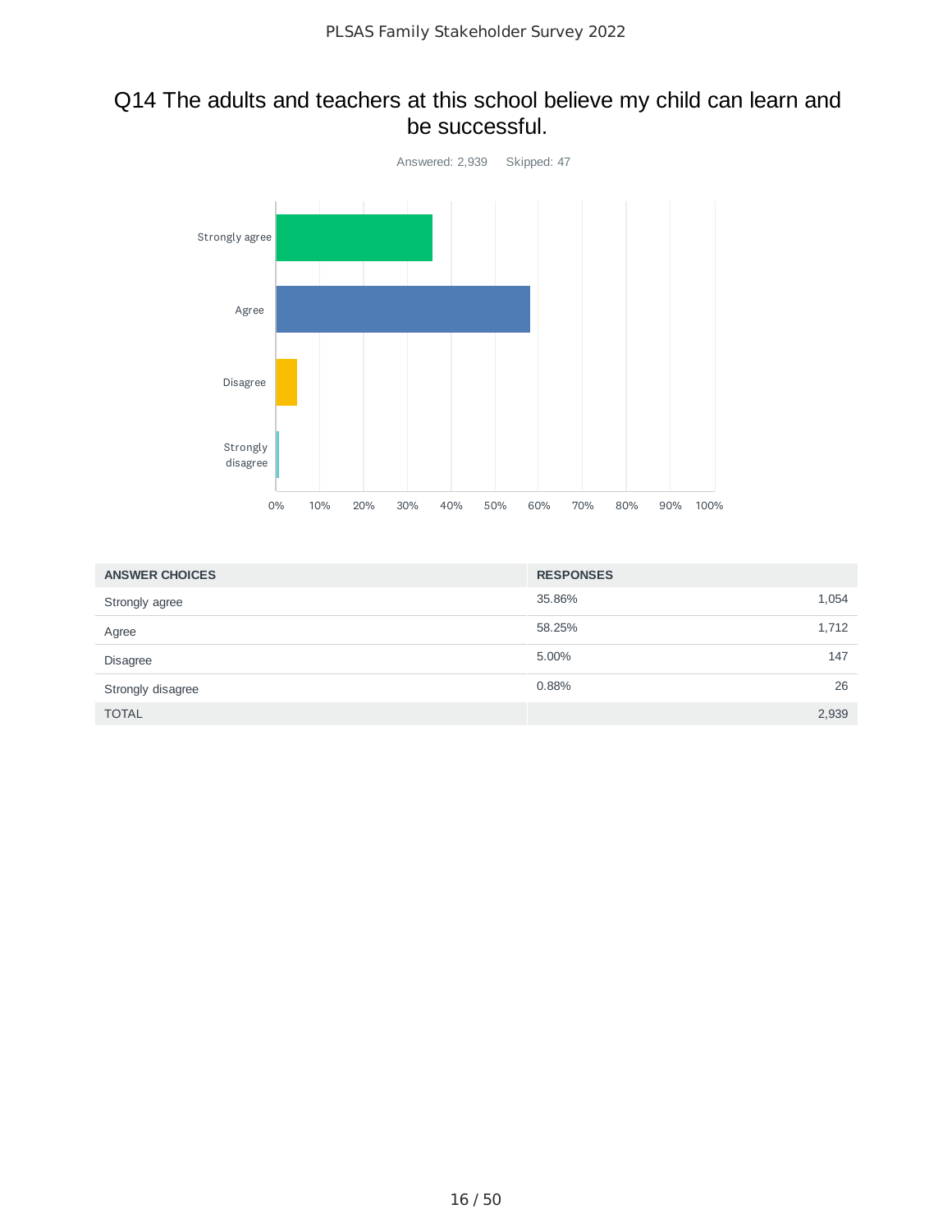#### Q14 The adults and teachers at this school believe my child can learn and be successful.



| <b>ANSWER CHOICES</b> | <b>RESPONSES</b> |       |
|-----------------------|------------------|-------|
| Strongly agree        | 35.86%           | 1,054 |
| Agree                 | 58.25%           | 1,712 |
| <b>Disagree</b>       | 5.00%            | 147   |
| Strongly disagree     | 0.88%            | 26    |
| <b>TOTAL</b>          |                  | 2,939 |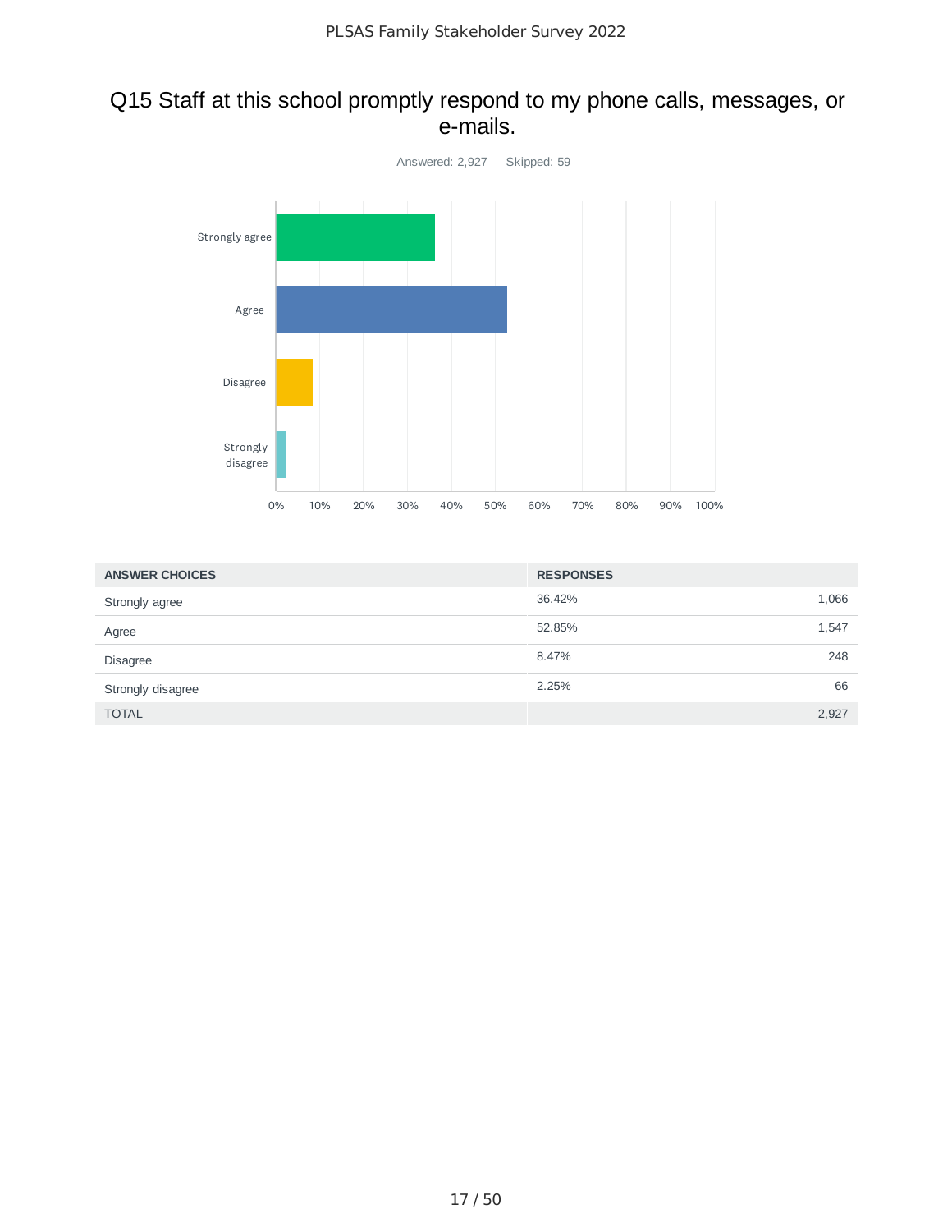### Q15 Staff at this school promptly respond to my phone calls, messages, or e-mails.



| <b>ANSWER CHOICES</b> | <b>RESPONSES</b> |       |
|-----------------------|------------------|-------|
| Strongly agree        | 36.42%           | 1,066 |
| Agree                 | 52.85%           | 1,547 |
| <b>Disagree</b>       | 8.47%            | 248   |
| Strongly disagree     | 2.25%            | 66    |
| <b>TOTAL</b>          |                  | 2,927 |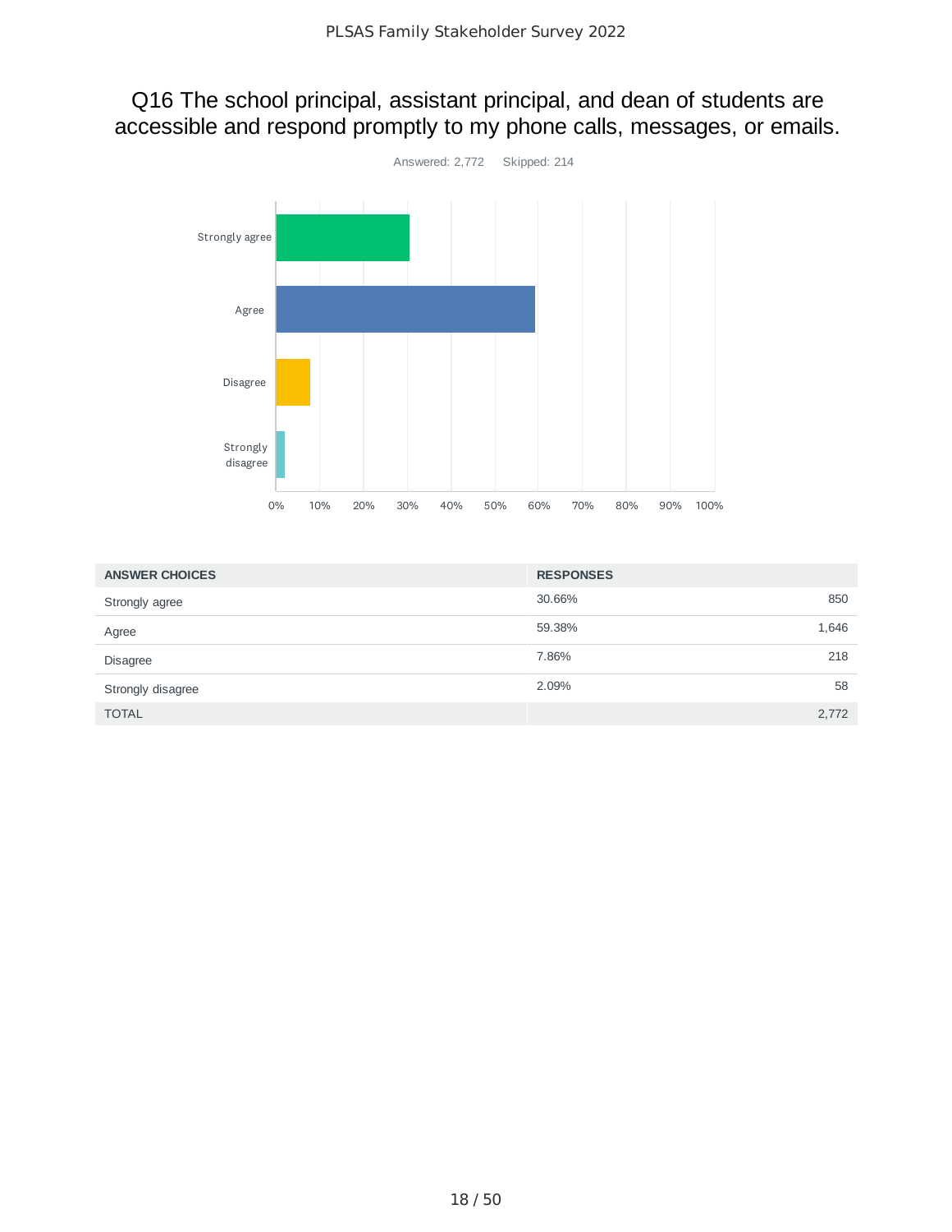Q16 The school principal, assistant principal, and dean of students are accessible and respond promptly to my phone calls, messages, or emails.



| <b>ANSWER CHOICES</b> | <b>RESPONSES</b> |       |
|-----------------------|------------------|-------|
| Strongly agree        | 30.66%           | 850   |
| Agree                 | 59.38%           | 1,646 |
| Disagree              | 7.86%            | 218   |
| Strongly disagree     | 2.09%            | 58    |
| <b>TOTAL</b>          |                  | 2,772 |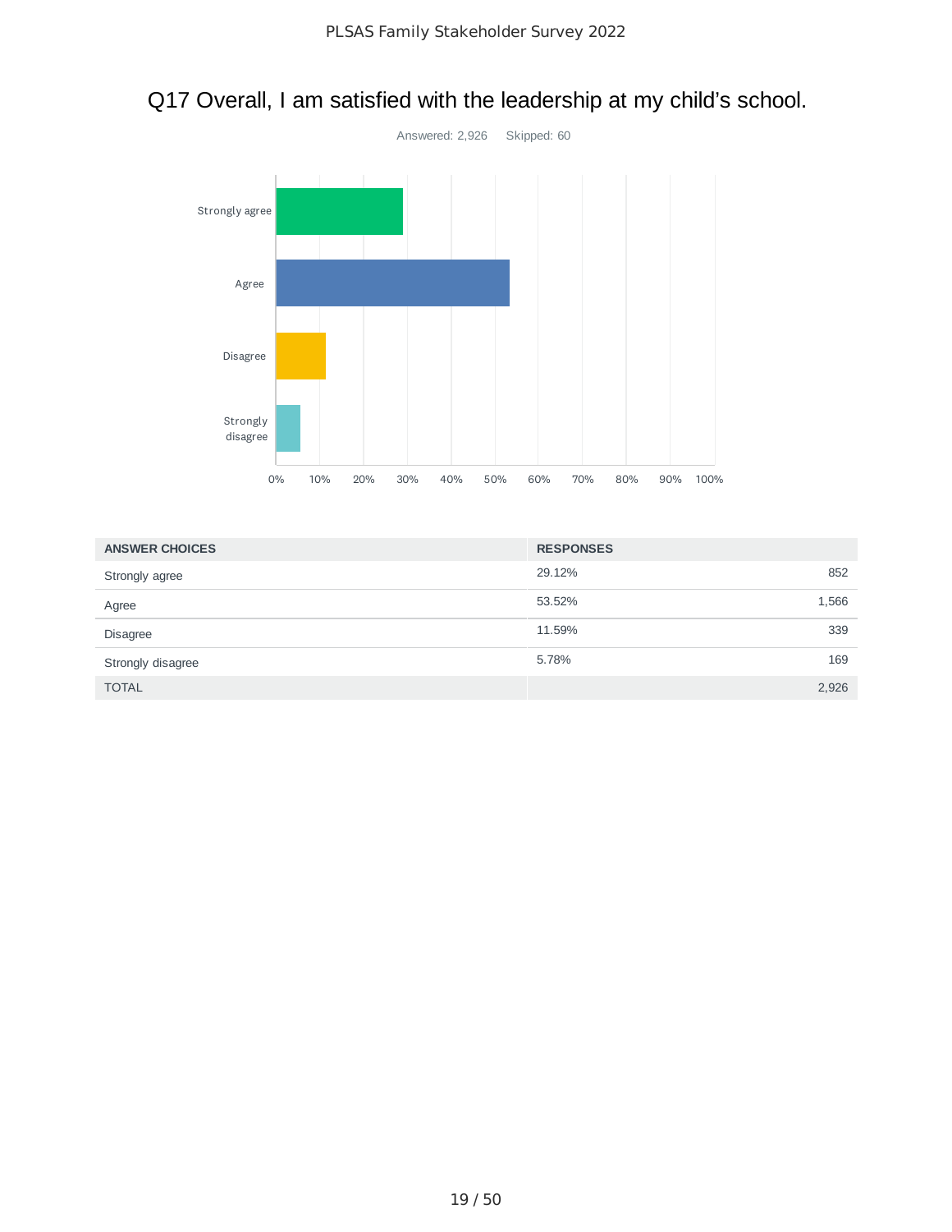

## Q17 Overall, I am satisfied with the leadership at my child's school.

| <b>ANSWER CHOICES</b> | <b>RESPONSES</b> |       |
|-----------------------|------------------|-------|
| Strongly agree        | 29.12%           | 852   |
| Agree                 | 53.52%           | 1,566 |
| <b>Disagree</b>       | 11.59%           | 339   |
| Strongly disagree     | 5.78%            | 169   |
| <b>TOTAL</b>          |                  | 2,926 |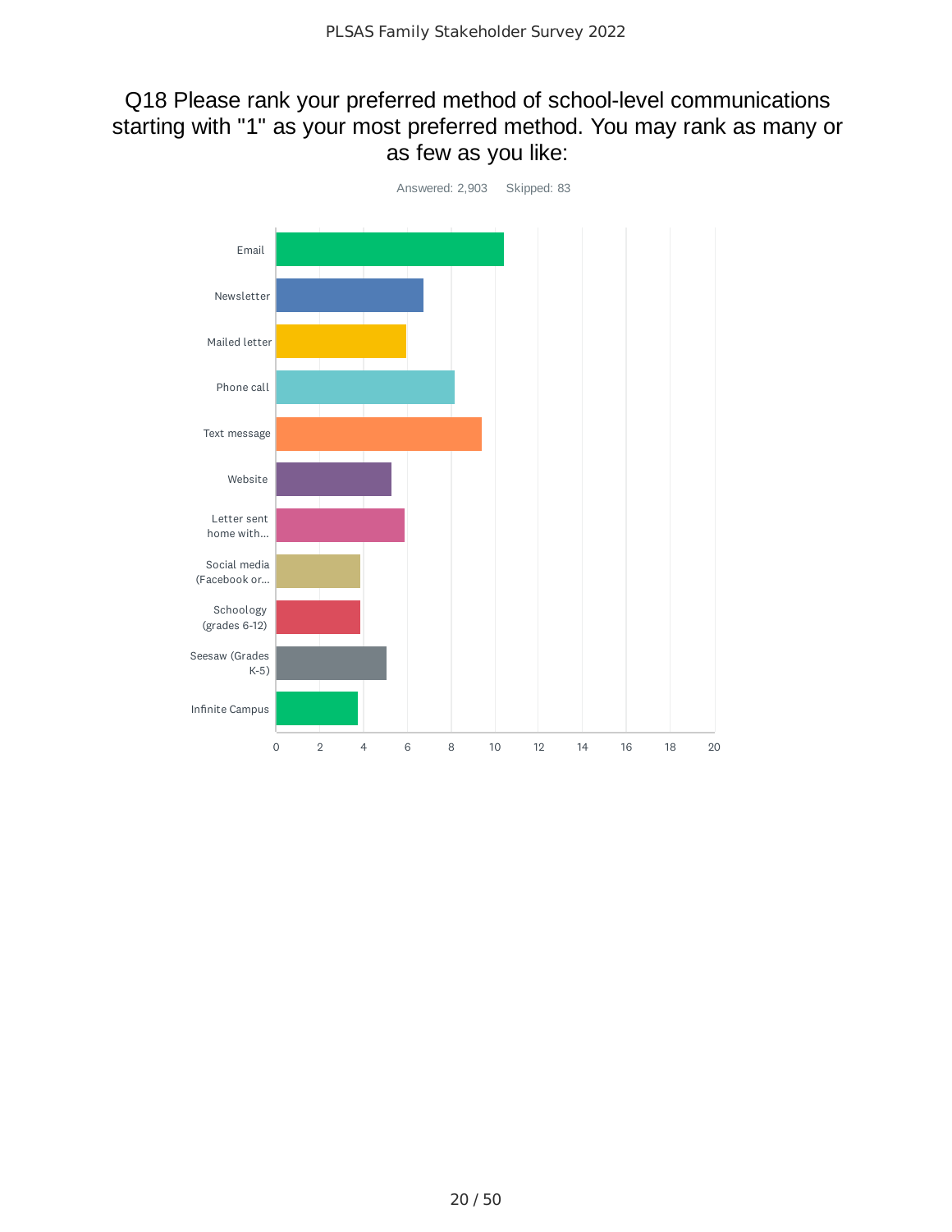## Q18 Please rank your preferred method of school-level communications starting with "1" as your most preferred method. You may rank as many or as few as you like:

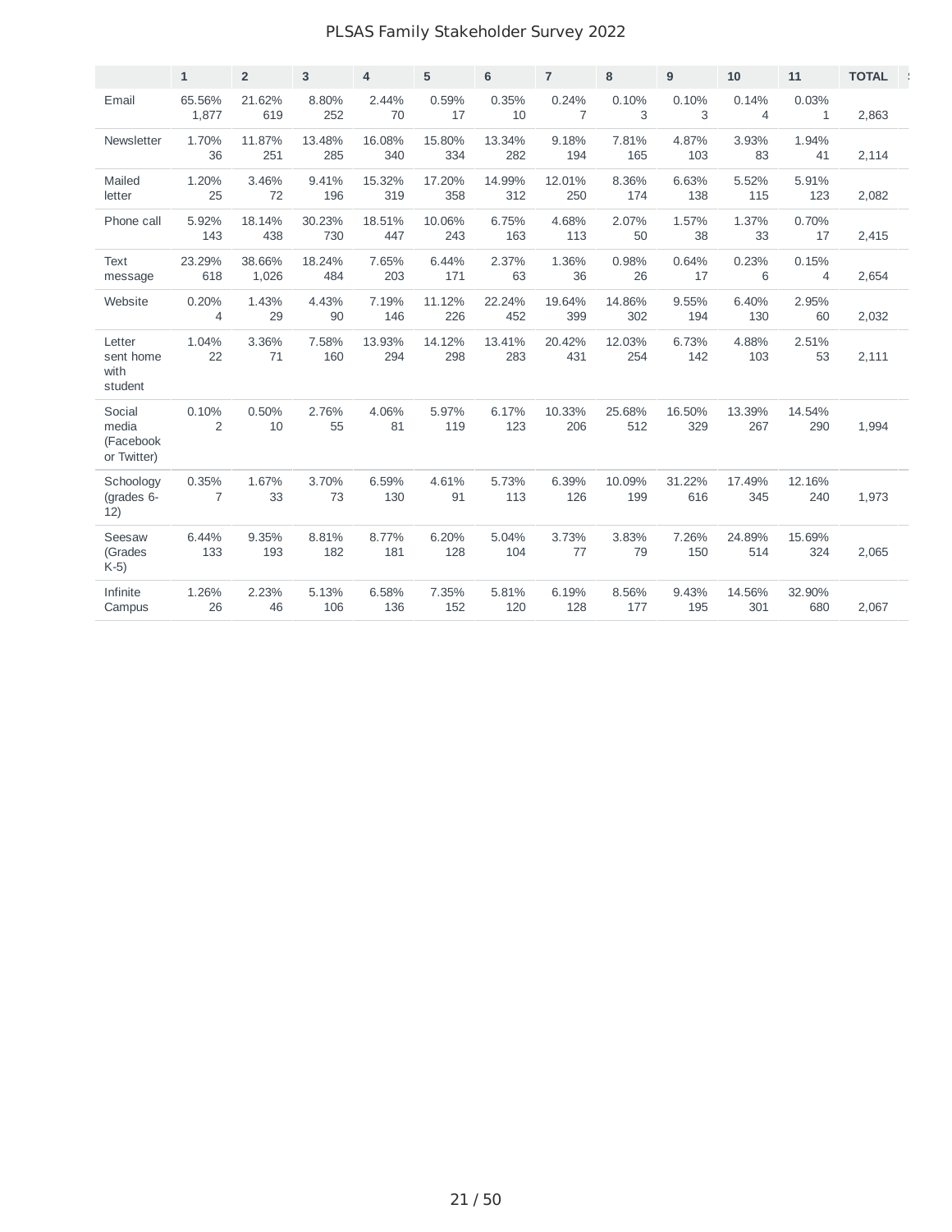#### PLSAS Family Stakeholder Survey 2022

|                                             | $\mathbf{1}$            | $\overline{2}$  | 3             | $\overline{4}$ | 5             | 6             | $\overline{7}$          | 8             | 9             | 10                      | 11                    | <b>TOTAL</b> |
|---------------------------------------------|-------------------------|-----------------|---------------|----------------|---------------|---------------|-------------------------|---------------|---------------|-------------------------|-----------------------|--------------|
| Email                                       | 65.56%<br>1,877         | 21.62%<br>619   | 8.80%<br>252  | 2.44%<br>70    | 0.59%<br>17   | 0.35%<br>10   | 0.24%<br>$\overline{7}$ | 0.10%<br>3    | 0.10%<br>3    | 0.14%<br>$\overline{4}$ | 0.03%<br>$\mathbf{1}$ | 2,863        |
| Newsletter                                  | 1.70%<br>36             | 11.87%<br>251   | 13.48%<br>285 | 16.08%<br>340  | 15.80%<br>334 | 13.34%<br>282 | 9.18%<br>194            | 7.81%<br>165  | 4.87%<br>103  | 3.93%<br>83             | 1.94%<br>41           | 2,114        |
| Mailed<br>letter                            | 1.20%<br>25             | 3.46%<br>72     | 9.41%<br>196  | 15.32%<br>319  | 17.20%<br>358 | 14.99%<br>312 | 12.01%<br>250           | 8.36%<br>174  | 6.63%<br>138  | 5.52%<br>115            | 5.91%<br>123          | 2,082        |
| Phone call                                  | 5.92%<br>143            | 18.14%<br>438   | 30.23%<br>730 | 18.51%<br>447  | 10.06%<br>243 | 6.75%<br>163  | 4.68%<br>113            | 2.07%<br>50   | 1.57%<br>38   | 1.37%<br>33             | 0.70%<br>17           | 2,415        |
| <b>Text</b><br>message                      | 23.29%<br>618           | 38.66%<br>1,026 | 18.24%<br>484 | 7.65%<br>203   | 6.44%<br>171  | 2.37%<br>63   | 1.36%<br>36             | 0.98%<br>26   | 0.64%<br>17   | 0.23%<br>6              | 0.15%<br>4            | 2,654        |
| Website                                     | 0.20%<br>4              | 1.43%<br>29     | 4.43%<br>90   | 7.19%<br>146   | 11.12%<br>226 | 22.24%<br>452 | 19.64%<br>399           | 14.86%<br>302 | 9.55%<br>194  | 6.40%<br>130            | 2.95%<br>60           | 2,032        |
| Letter<br>sent home<br>with<br>student      | 1.04%<br>22             | 3.36%<br>71     | 7.58%<br>160  | 13.93%<br>294  | 14.12%<br>298 | 13.41%<br>283 | 20.42%<br>431           | 12.03%<br>254 | 6.73%<br>142  | 4.88%<br>103            | 2.51%<br>53           | 2,111        |
| Social<br>media<br>(Facebook<br>or Twitter) | 0.10%<br>$\overline{c}$ | 0.50%<br>10     | 2.76%<br>55   | 4.06%<br>81    | 5.97%<br>119  | 6.17%<br>123  | 10.33%<br>206           | 25.68%<br>512 | 16.50%<br>329 | 13.39%<br>267           | 14.54%<br>290         | 1,994        |
| Schoology<br>(grades 6-<br>12)              | 0.35%<br>7              | 1.67%<br>33     | 3.70%<br>73   | 6.59%<br>130   | 4.61%<br>91   | 5.73%<br>113  | 6.39%<br>126            | 10.09%<br>199 | 31.22%<br>616 | 17.49%<br>345           | 12.16%<br>240         | 1,973        |
| Seesaw<br>(Grades<br>$K-5$                  | 6.44%<br>133            | 9.35%<br>193    | 8.81%<br>182  | 8.77%<br>181   | 6.20%<br>128  | 5.04%<br>104  | 3.73%<br>77             | 3.83%<br>79   | 7.26%<br>150  | 24.89%<br>514           | 15.69%<br>324         | 2,065        |
| Infinite<br>Campus                          | 1.26%<br>26             | 2.23%<br>46     | 5.13%<br>106  | 6.58%<br>136   | 7.35%<br>152  | 5.81%<br>120  | 6.19%<br>128            | 8.56%<br>177  | 9.43%<br>195  | 14.56%<br>301           | 32.90%<br>680         | 2,067        |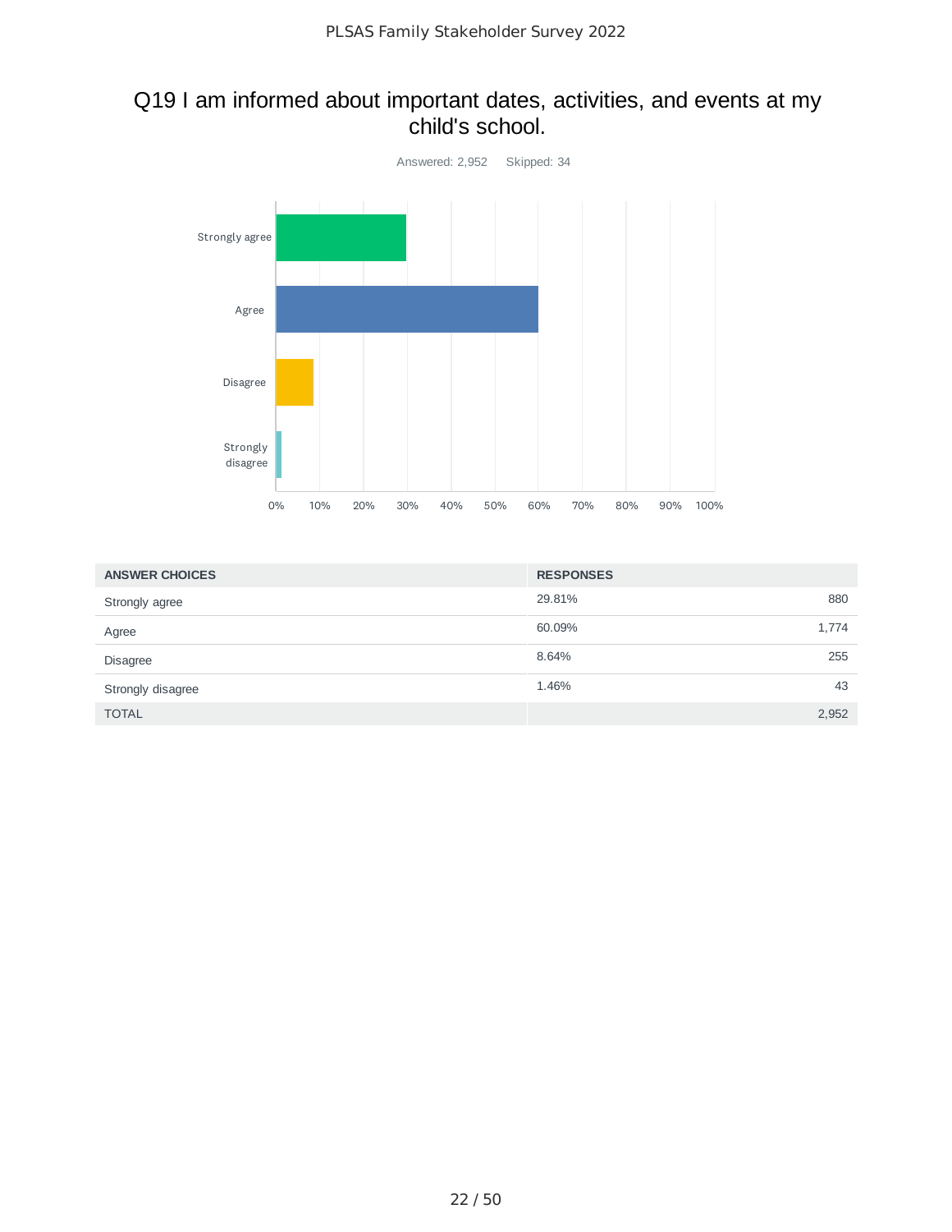## Q19 I am informed about important dates, activities, and events at my child's school.



| <b>ANSWER CHOICES</b> | <b>RESPONSES</b> |       |
|-----------------------|------------------|-------|
| Strongly agree        | 29.81%           | 880   |
| Agree                 | 60.09%           | 1,774 |
| <b>Disagree</b>       | 8.64%            | 255   |
| Strongly disagree     | 1.46%            | 43    |
| <b>TOTAL</b>          |                  | 2,952 |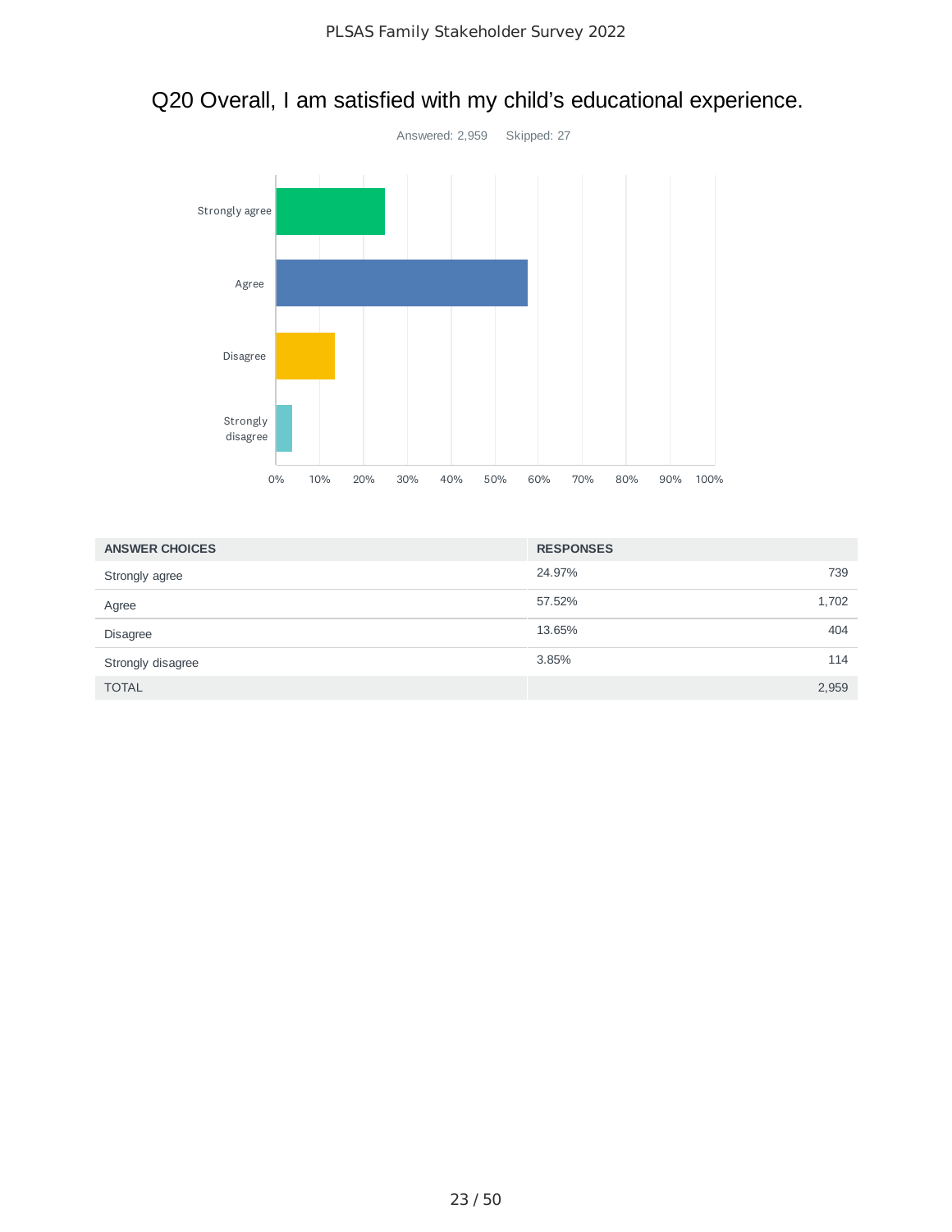

# Q20 Overall, I am satisfied with my child's educational experience.

| <b>ANSWER CHOICES</b> | <b>RESPONSES</b> |       |
|-----------------------|------------------|-------|
| Strongly agree        | 24.97%           | 739   |
| Agree                 | 57.52%           | 1,702 |
| <b>Disagree</b>       | 13.65%           | 404   |
| Strongly disagree     | 3.85%            | 114   |
| <b>TOTAL</b>          |                  | 2,959 |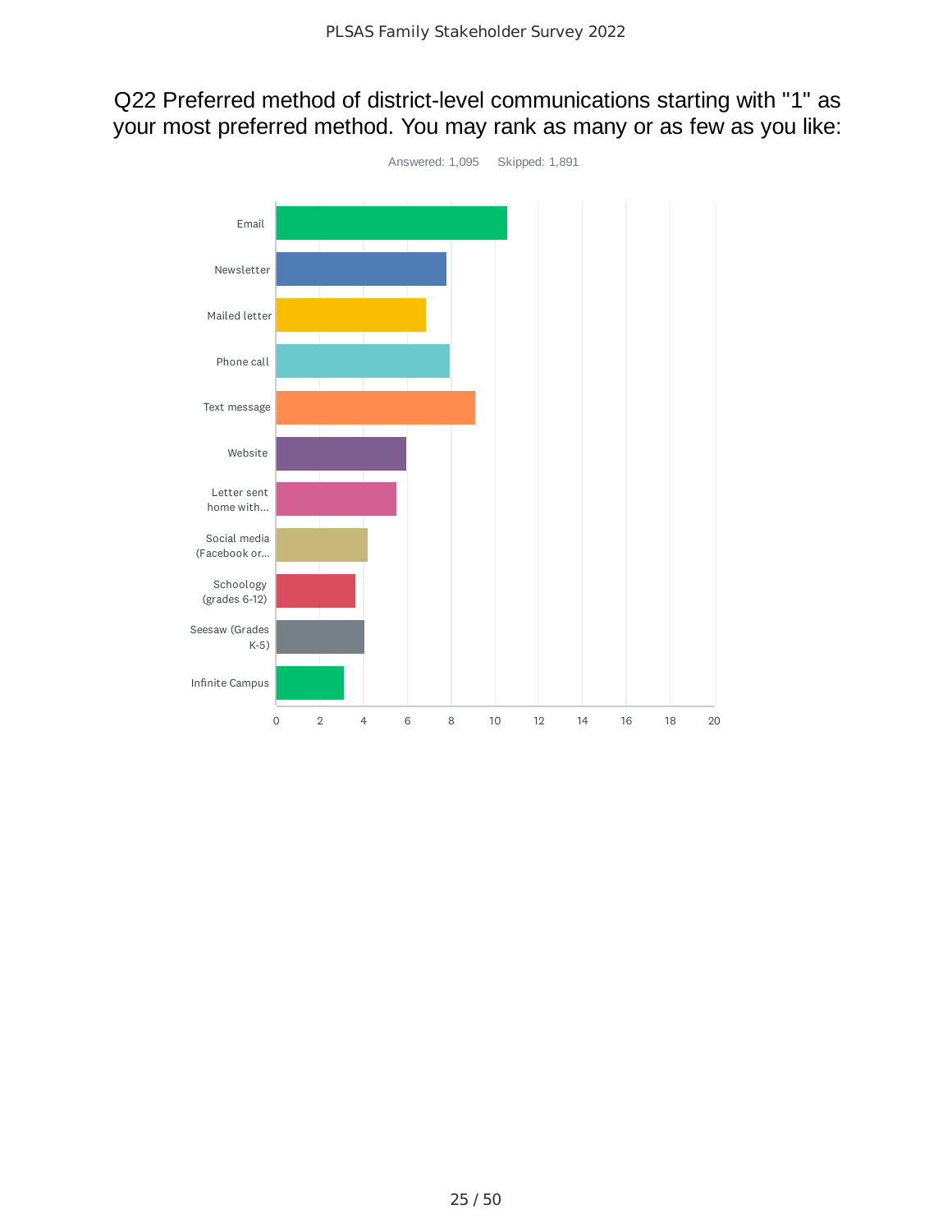## Q22 Preferred method of district-level communications starting with "1" as your most preferred method. You may rank as many or as few as you like:

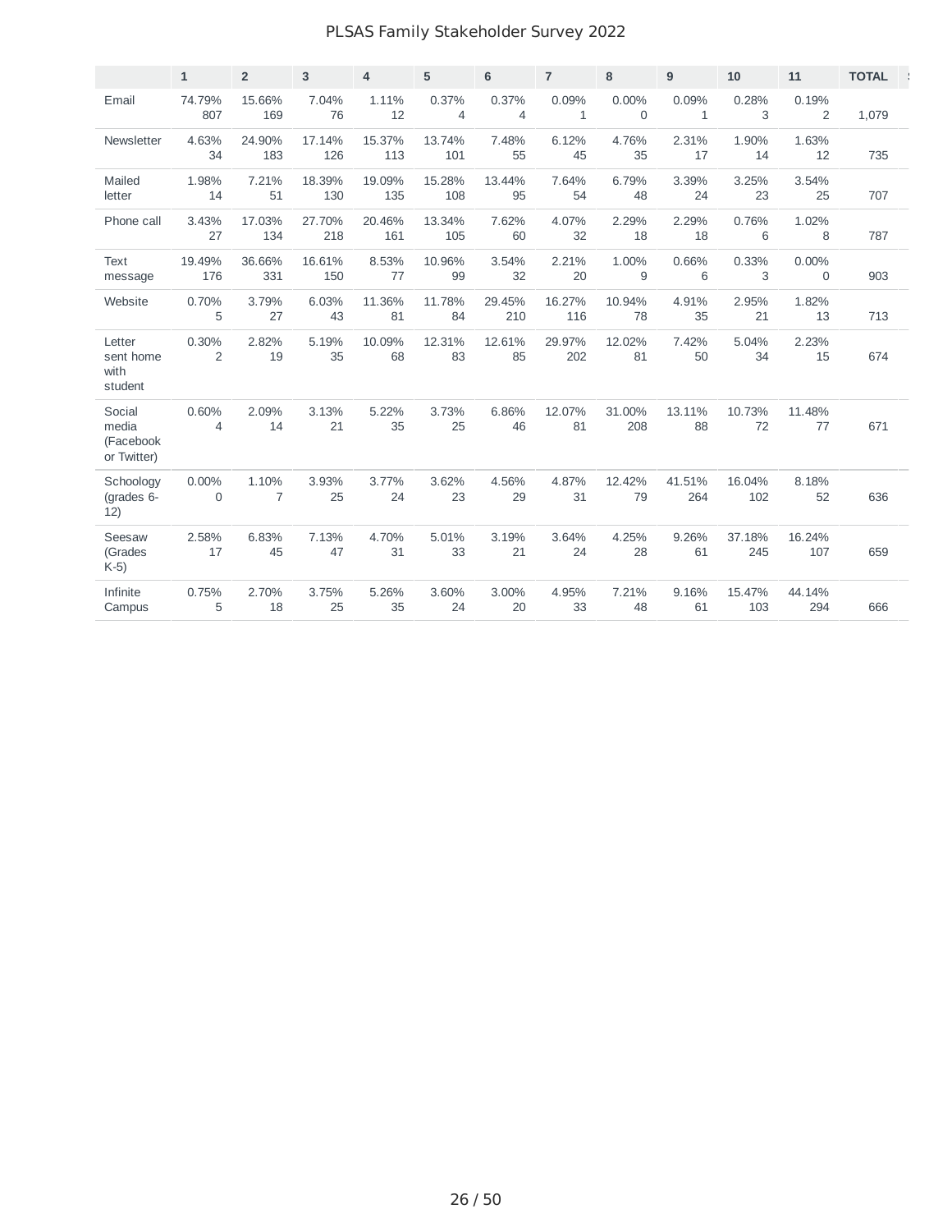#### PLSAS Family Stakeholder Survey 2022

|                                             | $\mathbf{1}$         | $\overline{2}$ | 3             | $\overline{4}$ | 5             | $6\phantom{1}$          | $\overline{7}$        | 8                    | 9                     | 10            | 11                      | <b>TOTAL</b> |
|---------------------------------------------|----------------------|----------------|---------------|----------------|---------------|-------------------------|-----------------------|----------------------|-----------------------|---------------|-------------------------|--------------|
| Email                                       | 74.79%<br>807        | 15.66%<br>169  | 7.04%<br>76   | 1.11%<br>12    | 0.37%<br>4    | 0.37%<br>$\overline{4}$ | 0.09%<br>$\mathbf{1}$ | 0.00%<br>$\mathbf 0$ | 0.09%<br>$\mathbf{1}$ | 0.28%<br>3    | 0.19%<br>$\overline{2}$ | 1,079        |
| Newsletter                                  | 4.63%<br>34          | 24.90%<br>183  | 17.14%<br>126 | 15.37%<br>113  | 13.74%<br>101 | 7.48%<br>55             | 6.12%<br>45           | 4.76%<br>35          | 2.31%<br>17           | 1.90%<br>14   | 1.63%<br>12             | 735          |
| Mailed<br>letter                            | 1.98%<br>14          | 7.21%<br>51    | 18.39%<br>130 | 19.09%<br>135  | 15.28%<br>108 | 13.44%<br>95            | 7.64%<br>54           | 6.79%<br>48          | 3.39%<br>24           | 3.25%<br>23   | 3.54%<br>25             | 707          |
| Phone call                                  | 3.43%<br>27          | 17.03%<br>134  | 27.70%<br>218 | 20.46%<br>161  | 13.34%<br>105 | 7.62%<br>60             | 4.07%<br>32           | 2.29%<br>18          | 2.29%<br>18           | 0.76%<br>6    | 1.02%<br>8              | 787          |
| <b>Text</b><br>message                      | 19.49%<br>176        | 36.66%<br>331  | 16.61%<br>150 | 8.53%<br>77    | 10.96%<br>99  | 3.54%<br>32             | 2.21%<br>20           | 1.00%<br>9           | 0.66%<br>6            | 0.33%<br>3    | $0.00\%$<br>$\mathbf 0$ | 903          |
| Website                                     | 0.70%<br>5           | 3.79%<br>27    | 6.03%<br>43   | 11.36%<br>81   | 11.78%<br>84  | 29.45%<br>210           | 16.27%<br>116         | 10.94%<br>78         | 4.91%<br>35           | 2.95%<br>21   | 1.82%<br>13             | 713          |
| Letter<br>sent home<br>with<br>student      | 0.30%<br>2           | 2.82%<br>19    | 5.19%<br>35   | 10.09%<br>68   | 12.31%<br>83  | 12.61%<br>85            | 29.97%<br>202         | 12.02%<br>81         | 7.42%<br>50           | 5.04%<br>34   | 2.23%<br>15             | 674          |
| Social<br>media<br>(Facebook<br>or Twitter) | 0.60%<br>4           | 2.09%<br>14    | 3.13%<br>21   | 5.22%<br>35    | 3.73%<br>25   | 6.86%<br>46             | 12.07%<br>81          | 31.00%<br>208        | 13.11%<br>88          | 10.73%<br>72  | 11.48%<br>77            | 671          |
| Schoology<br>(grades 6-<br>12)              | $0.00\%$<br>$\Omega$ | 1.10%<br>7     | 3.93%<br>25   | 3.77%<br>24    | 3.62%<br>23   | 4.56%<br>29             | 4.87%<br>31           | 12.42%<br>79         | 41.51%<br>264         | 16.04%<br>102 | 8.18%<br>52             | 636          |
| Seesaw<br>(Grades<br>$K-5$                  | 2.58%<br>17          | 6.83%<br>45    | 7.13%<br>47   | 4.70%<br>31    | 5.01%<br>33   | 3.19%<br>21             | 3.64%<br>24           | 4.25%<br>28          | 9.26%<br>61           | 37.18%<br>245 | 16.24%<br>107           | 659          |
| Infinite<br>Campus                          | 0.75%<br>5           | 2.70%<br>18    | 3.75%<br>25   | 5.26%<br>35    | 3.60%<br>24   | 3.00%<br>20             | 4.95%<br>33           | 7.21%<br>48          | 9.16%<br>61           | 15.47%<br>103 | 44.14%<br>294           | 666          |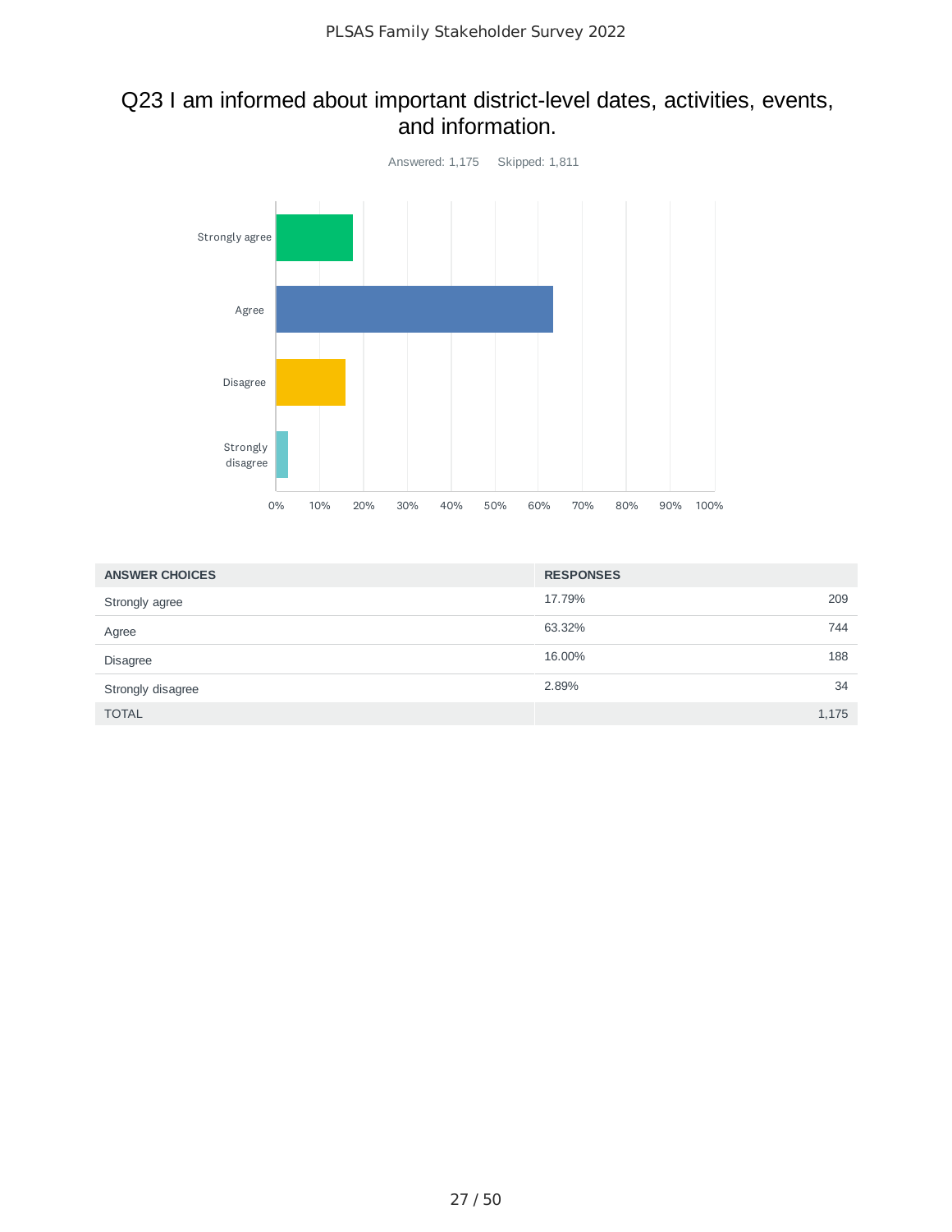#### Q23 I am informed about important district-level dates, activities, events, and information.



| <b>ANSWER CHOICES</b> | <b>RESPONSES</b> |       |
|-----------------------|------------------|-------|
| Strongly agree        | 17.79%           | 209   |
| Agree                 | 63.32%           | 744   |
| <b>Disagree</b>       | 16.00%           | 188   |
| Strongly disagree     | 2.89%            | 34    |
| <b>TOTAL</b>          |                  | 1,175 |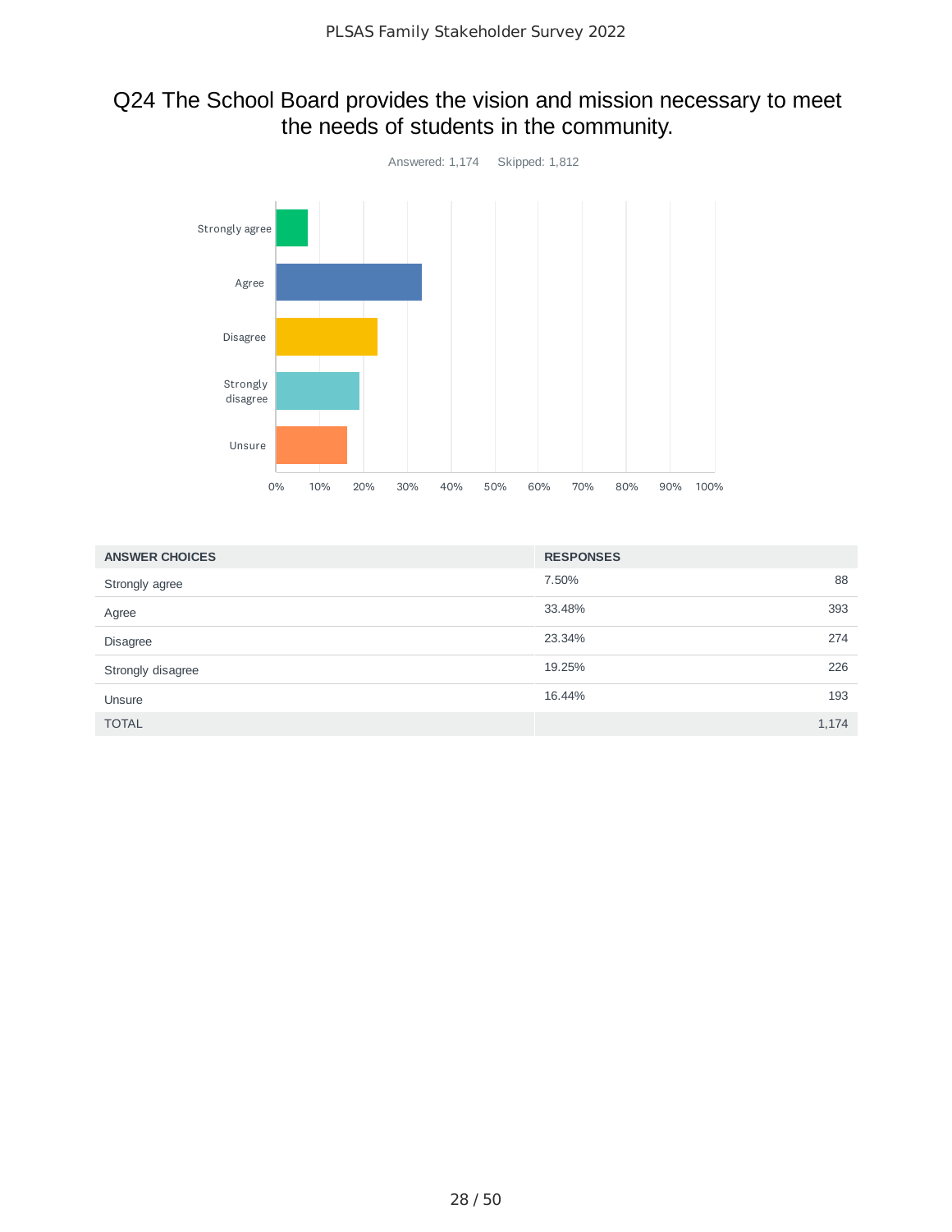## Q24 The School Board provides the vision and mission necessary to meet the needs of students in the community.



| <b>ANSWER CHOICES</b> | <b>RESPONSES</b> |       |
|-----------------------|------------------|-------|
| Strongly agree        | 7.50%            | 88    |
| Agree                 | 33.48%           | 393   |
| <b>Disagree</b>       | 23.34%           | 274   |
| Strongly disagree     | 19.25%           | 226   |
| Unsure                | 16.44%           | 193   |
| <b>TOTAL</b>          |                  | 1.174 |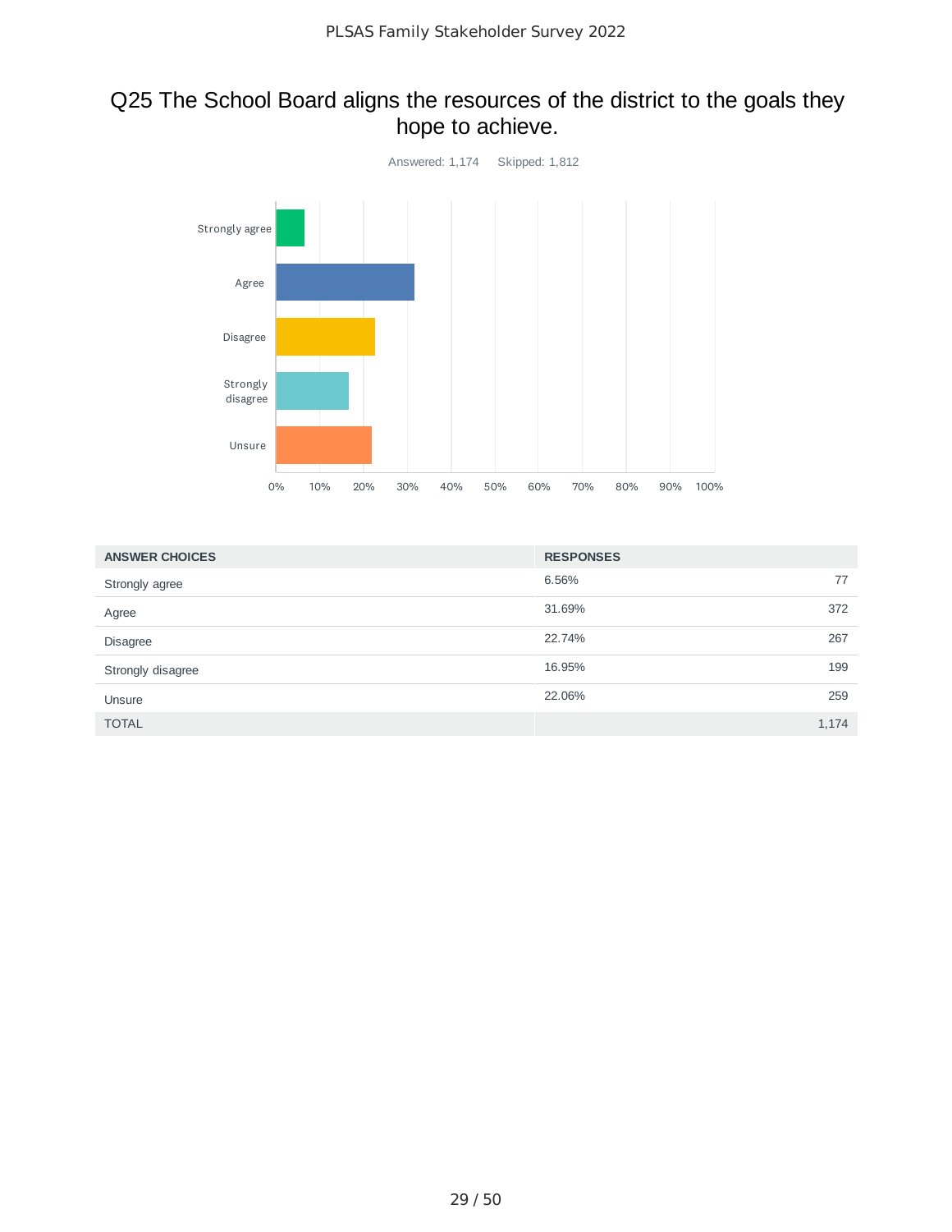## Q25 The School Board aligns the resources of the district to the goals they hope to achieve.



| <b>ANSWER CHOICES</b> | <b>RESPONSES</b> |       |
|-----------------------|------------------|-------|
| Strongly agree        | 6.56%            | 77    |
| Agree                 | 31.69%           | 372   |
| <b>Disagree</b>       | 22.74%           | 267   |
| Strongly disagree     | 16.95%           | 199   |
| Unsure                | 22.06%           | 259   |
| <b>TOTAL</b>          |                  | 1,174 |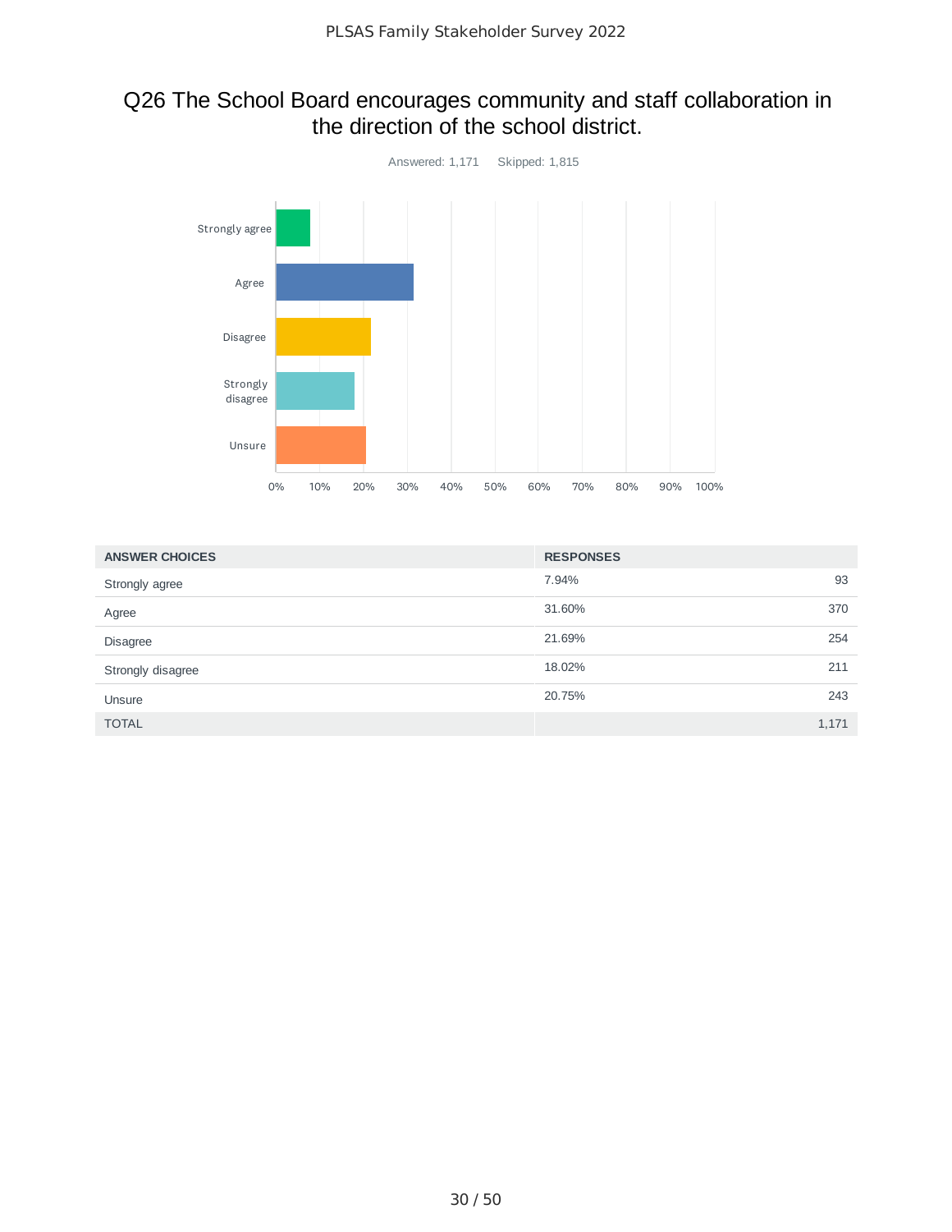# Q26 The School Board encourages community and staff collaboration in<br>the direction of the school district.



| <b>ANSWER CHOICES</b> | <b>RESPONSES</b> |       |
|-----------------------|------------------|-------|
| Strongly agree        | 7.94%            | 93    |
| Agree                 | 31.60%           | 370   |
| <b>Disagree</b>       | 21.69%           | 254   |
| Strongly disagree     | 18.02%           | 211   |
| Unsure                | 20.75%           | 243   |
| <b>TOTAL</b>          |                  | 1.171 |